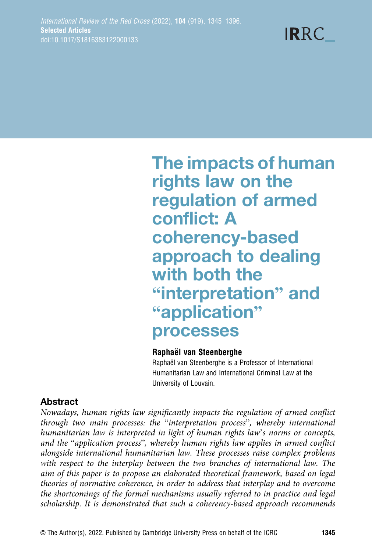**IRRC** 

# The impacts of human rights law on the regulation of armed conflict: A coherency-based approach to dealing with both the "interpretation" and "application" processes

#### Raphaël van Steenberghe

Raphaël van Steenberghe is a Professor of International Humanitarian Law and International Criminal Law at the University of Louvain.

# Abstract

Nowadays, human rights law significantly impacts the regulation of armed conflict through two main processes: the "interpretation process", whereby international humanitarian law is interpreted in light of human rights law's norms or concepts, and the "application process", whereby human rights law applies in armed conflict alongside international humanitarian law. These processes raise complex problems with respect to the interplay between the two branches of international law. The aim of this paper is to propose an elaborated theoretical framework, based on legal theories of normative coherence, in order to address that interplay and to overcome the shortcomings of the formal mechanisms usually referred to in practice and legal scholarship. It is demonstrated that such a coherency-based approach recommends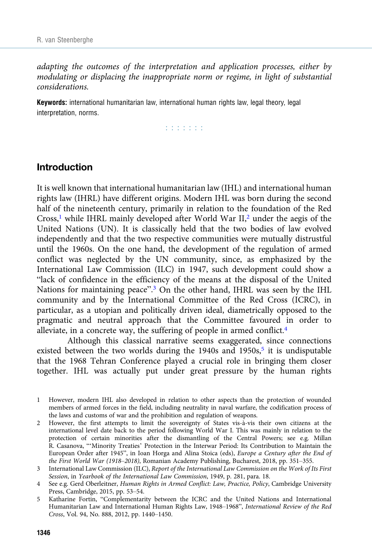adapting the outcomes of the interpretation and application processes, either by modulating or displacing the inappropriate norm or regime, in light of substantial considerations.

Keywords: international humanitarian law, international human rights law, legal theory, legal interpretation, norms.

and and and

# Introduction

It is well known that international humanitarian law (IHL) and international human rights law (IHRL) have different origins. Modern IHL was born during the second half of the nineteenth century, primarily in relation to the foundation of the Red Cross,<sup>1</sup> while IHRL mainly developed after World War  $II$ ,<sup>2</sup> under the aegis of the United Nations (UN). It is classically held that the two bodies of law evolved independently and that the two respective communities were mutually distrustful until the 1960s. On the one hand, the development of the regulation of armed conflict was neglected by the UN community, since, as emphasized by the International Law Commission (ILC) in 1947, such development could show a "lack of confidence in the efficiency of the means at the disposal of the United Nations for maintaining peace".<sup>3</sup> On the other hand, IHRL was seen by the IHL community and by the International Committee of the Red Cross (ICRC), in particular, as a utopian and politically driven ideal, diametrically opposed to the pragmatic and neutral approach that the Committee favoured in order to alleviate, in a concrete way, the suffering of people in armed conflict.<sup>4</sup>

Although this classical narrative seems exaggerated, since connections existed between the two worlds during the  $1940s$  and  $1950s<sub>5</sub>$  it is undisputable that the 1968 Tehran Conference played a crucial role in bringing them closer together. IHL was actually put under great pressure by the human rights

- 1 However, modern IHL also developed in relation to other aspects than the protection of wounded members of armed forces in the field, including neutrality in naval warfare, the codification process of the laws and customs of war and the prohibition and regulation of weapons.
- 2 However, the first attempts to limit the sovereignty of States vis-à-vis their own citizens at the international level date back to the period following World War I. This was mainly in relation to the protection of certain minorities after the dismantling of the Central Powers; see e.g. Millan R. Casanova, "'Minority Treaties' Protection in the Interwar Period: Its Contribution to Maintain the European Order after 1945", in Ioan Horga and Alina Stoica (eds), Europe a Century after the End of the First World War (1918–2018), Romanian Academy Publishing, Bucharest, 2018, pp. 351–355.
- 3 International Law Commission (ILC), Report of the International Law Commission on the Work of Its First Session, in Yearbook of the International Law Commission, 1949, p. 281, para. 18.
- 4 See e.g. Gerd Oberleitner, Human Rights in Armed Conflict: Law, Practice, Policy, Cambridge University Press, Cambridge, 2015, pp. 53–54.
- 5 Katharine Fortin, "Complementarity between the ICRC and the United Nations and International Humanitarian Law and International Human Rights Law, 1948–1968", International Review of the Red Cross, Vol. 94, No. 888, 2012, pp. 1440–1450.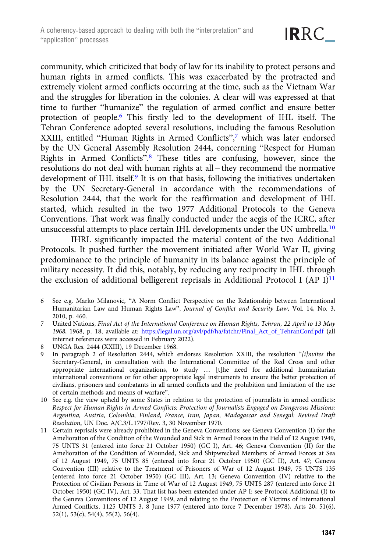community, which criticized that body of law for its inability to protect persons and human rights in armed conflicts. This was exacerbated by the protracted and extremely violent armed conflicts occurring at the time, such as the Vietnam War and the struggles for liberation in the colonies. A clear will was expressed at that time to further "humanize" the regulation of armed conflict and ensure better protection of people.6 This firstly led to the development of IHL itself. The Tehran Conference adopted several resolutions, including the famous Resolution XXIII, entitled "Human Rights in Armed Conflicts", <sup>7</sup> which was later endorsed by the UN General Assembly Resolution 2444, concerning "Respect for Human Rights in Armed Conflicts". <sup>8</sup> These titles are confusing, however, since the resolutions do not deal with human rights at all – they recommend the normative development of IHL itself.9 It is on that basis, following the initiatives undertaken by the UN Secretary-General in accordance with the recommendations of Resolution 2444, that the work for the reaffirmation and development of IHL started, which resulted in the two 1977 Additional Protocols to the Geneva Conventions. That work was finally conducted under the aegis of the ICRC, after unsuccessful attempts to place certain IHL developments under the UN umbrella.<sup>10</sup>

IHRL significantly impacted the material content of the two Additional Protocols. It pushed further the movement initiated after World War II, giving predominance to the principle of humanity in its balance against the principle of military necessity. It did this, notably, by reducing any reciprocity in IHL through the exclusion of additional belligerent reprisals in Additional Protocol I (AP I) $^{11}$ 

- 6 See e.g. Marko Milanovic, "A Norm Conflict Perspective on the Relationship between International Humanitarian Law and Human Rights Law", Journal of Conflict and Security Law, Vol. 14, No. 3, 2010, p. 460.
- 7 United Nations, Final Act of the International Conference on Human Rights, Tehran, 22 April to 13 May 1968, 1968, p. 18, available at: [https://legal.un.org/avl/pdf/ha/fatchr/Final\\_Act\\_of\\_TehranConf.pdf](https://legal.un.org/avl/pdf/ha/fatchr/Final_Act_of_TehranConf.pdf) (all internet references were accessed in February 2022).
- 8 UNGA Res. 2444 (XXIII), 19 December 1968.
- 9 In paragraph 2 of Resolution 2444, which endorses Resolution XXIII, the resolution "[i]nvites the Secretary-General, in consultation with the International Committee of the Red Cross and other appropriate international organizations, to study … [t]he need for additional humanitarian international conventions or for other appropriate legal instruments to ensure the better protection of civilians, prisoners and combatants in all armed conflicts and the prohibition and limitation of the use of certain methods and means of warfare".
- 10 See e.g. the view upheld by some States in relation to the protection of journalists in armed conflicts: Respect for Human Rights in Armed Conflicts: Protection of Journalists Engaged on Dangerous Missions: Argentina, Austria, Colombia, Finland, France, Iran, Japan, Madagascar and Senegal: Revised Draft Resolution, UN Doc. A/C.3/L.1797/Rev. 3, 30 November 1970.
- 11 Certain reprisals were already prohibited in the Geneva Conventions: see Geneva Convention (I) for the Amelioration of the Condition of the Wounded and Sick in Armed Forces in the Field of 12 August 1949, 75 UNTS 31 (entered into force 21 October 1950) (GC I), Art. 46; Geneva Convention (II) for the Amelioration of the Condition of Wounded, Sick and Shipwrecked Members of Armed Forces at Sea of 12 August 1949, 75 UNTS 85 (entered into force 21 October 1950) (GC II), Art. 47; Geneva Convention (III) relative to the Treatment of Prisoners of War of 12 August 1949, 75 UNTS 135 (entered into force 21 October 1950) (GC III), Art. 13; Geneva Convention (IV) relative to the Protection of Civilian Persons in Time of War of 12 August 1949, 75 UNTS 287 (entered into force 21 October 1950) (GC IV), Art. 33. That list has been extended under AP I: see Protocol Additional (I) to the Geneva Conventions of 12 August 1949, and relating to the Protection of Victims of International Armed Conflicts, 1125 UNTS 3, 8 June 1977 (entered into force 7 December 1978), Arts 20, 51(6), 52(1), 53(c), 54(4), 55(2), 56(4).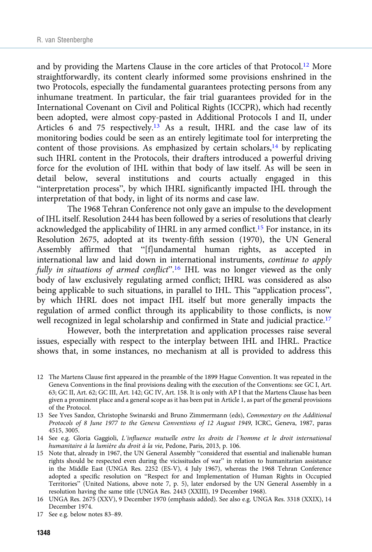and by providing the Martens Clause in the core articles of that Protocol.<sup>12</sup> More straightforwardly, its content clearly informed some provisions enshrined in the two Protocols, especially the fundamental guarantees protecting persons from any inhumane treatment. In particular, the fair trial guarantees provided for in the International Covenant on Civil and Political Rights (ICCPR), which had recently been adopted, were almost copy-pasted in Additional Protocols I and II, under Articles 6 and 75 respectively.<sup>13</sup> As a result, IHRL and the case law of its monitoring bodies could be seen as an entirely legitimate tool for interpreting the content of those provisions. As emphasized by certain scholars, $14$  by replicating such IHRL content in the Protocols, their drafters introduced a powerful driving force for the evolution of IHL within that body of law itself. As will be seen in detail below, several institutions and courts actually engaged in this "interpretation process", by which IHRL significantly impacted IHL through the interpretation of that body, in light of its norms and case law.

The 1968 Tehran Conference not only gave an impulse to the development of IHL itself. Resolution 2444 has been followed by a series of resolutions that clearly acknowledged the applicability of IHRL in any armed conflict.<sup>15</sup> For instance, in its Resolution 2675, adopted at its twenty-fifth session (1970), the UN General Assembly affirmed that "[f]undamental human rights, as accepted in international law and laid down in international instruments, continue to apply fully in situations of armed conflict".<sup>16</sup> IHL was no longer viewed as the only body of law exclusively regulating armed conflict; IHRL was considered as also being applicable to such situations, in parallel to IHL. This "application process", by which IHRL does not impact IHL itself but more generally impacts the regulation of armed conflict through its applicability to those conflicts, is now well recognized in legal scholarship and confirmed in State and judicial practice.<sup>17</sup>

However, both the interpretation and application processes raise several issues, especially with respect to the interplay between IHL and IHRL. Practice shows that, in some instances, no mechanism at all is provided to address this

- 12 The Martens Clause first appeared in the preamble of the 1899 Hague Convention. It was repeated in the Geneva Conventions in the final provisions dealing with the execution of the Conventions: see GC I, Art. 63; GC II, Art. 62; GC III, Art. 142; GC IV, Art. 158. It is only with AP I that the Martens Clause has been given a prominent place and a general scope as it has been put in Article 1, as part of the general provisions of the Protocol.
- 13 See Yves Sandoz, Christophe Swinarski and Bruno Zimmermann (eds), Commentary on the Additional Protocols of 8 June 1977 to the Geneva Conventions of 12 August 1949, ICRC, Geneva, 1987, paras 4515, 3005.
- 14 See e.g. Gloria Gaggioli, L'influence mutuelle entre les droits de l'homme et le droit international humanitaire à la lumière du droit à la vie, Pedone, Paris, 2013, p. 106.
- 15 Note that, already in 1967, the UN General Assembly "considered that essential and inalienable human rights should be respected even during the vicissitudes of war" in relation to humanitarian assistance in the Middle East (UNGA Res. 2252 (ES-V), 4 July 1967), whereas the 1968 Tehran Conference adopted a specific resolution on "Respect for and Implementation of Human Rights in Occupied Territories" (United Nations, above note 7, p. 5), later endorsed by the UN General Assembly in a resolution having the same title (UNGA Res. 2443 (XXIII), 19 December 1968).
- 16 UNGA Res. 2675 (XXV), 9 December 1970 (emphasis added). See also e.g. UNGA Res. 3318 (XXIX), 14 December 1974.

<sup>17</sup> See e.g. below notes 83–89.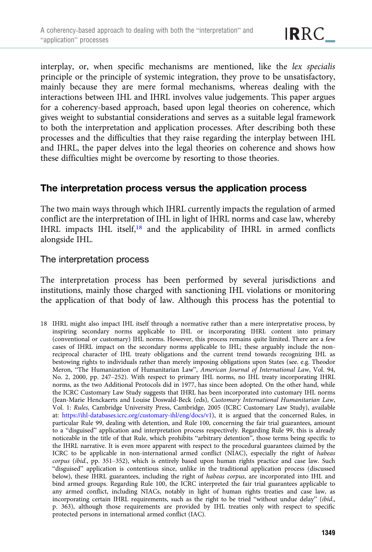interplay, or, when specific mechanisms are mentioned, like the lex specialis principle or the principle of systemic integration, they prove to be unsatisfactory, mainly because they are mere formal mechanisms, whereas dealing with the interactions between IHL and IHRL involves value judgements. This paper argues for a coherency-based approach, based upon legal theories on coherence, which gives weight to substantial considerations and serves as a suitable legal framework to both the interpretation and application processes. After describing both these processes and the difficulties that they raise regarding the interplay between IHL and IHRL, the paper delves into the legal theories on coherence and shows how these difficulties might be overcome by resorting to those theories.

# The interpretation process versus the application process

The two main ways through which IHRL currently impacts the regulation of armed conflict are the interpretation of IHL in light of IHRL norms and case law, whereby IHRL impacts IHL itself,18 and the applicability of IHRL in armed conflicts alongside IHL.

## The interpretation process

The interpretation process has been performed by several jurisdictions and institutions, mainly those charged with sanctioning IHL violations or monitoring the application of that body of law. Although this process has the potential to

18 IHRL might also impact IHL itself through a normative rather than a mere interpretative process, by inspiring secondary norms applicable to IHL or incorporating IHRL content into primary (conventional or customary) IHL norms. However, this process remains quite limited. There are a few cases of IHRL impact on the secondary norms applicable to IHL; these arguably include the nonreciprocal character of IHL treaty obligations and the current trend towards recognizing IHL as bestowing rights to individuals rather than merely imposing obligations upon States (see. e.g. Theodor Meron, "The Humanization of Humanitarian Law", American Journal of International Law, Vol. 94, No. 2, 2000, pp. 247–252). With respect to primary IHL norms, no IHL treaty incorporating IHRL norms, as the two Additional Protocols did in 1977, has since been adopted. On the other hand, while the ICRC Customary Law Study suggests that IHRL has been incorporated into customary IHL norms (Jean-Marie Henckaerts and Louise Doswald-Beck (eds), Customary International Humanitarian Law, Vol. 1: Rules, Cambridge University Press, Cambridge, 2005 (ICRC Customary Law Study), available at: <https://ihl-databases.icrc.org/customary-ihl/eng/docs/v1>), it is argued that the concerned Rules, in particular Rule 99, dealing with detention, and Rule 100, concerning the fair trial guarantees, amount to a "disguised" application and interpretation process respectively. Regarding Rule 99, this is already noticeable in the title of that Rule, which prohibits "arbitrary detention", those terms being specific to the IHRL narrative. It is even more apparent with respect to the procedural guarantees claimed by the ICRC to be applicable in non-international armed conflict (NIAC), especially the right of habeas corpus (ibid., pp. 351–352), which is entirely based upon human rights practice and case law. Such "disguised" application is contentious since, unlike in the traditional application process (discussed below), these IHRL guarantees, including the right of habeas corpus, are incorporated into IHL and bind armed groups. Regarding Rule 100, the ICRC interpreted the fair trial guarantees applicable to any armed conflict, including NIACs, notably in light of human rights treaties and case law, as incorporating certain IHRL requirements, such as the right to be tried "without undue delay" (ibid., p. 363), although those requirements are provided by IHL treaties only with respect to specific protected persons in international armed conflict (IAC).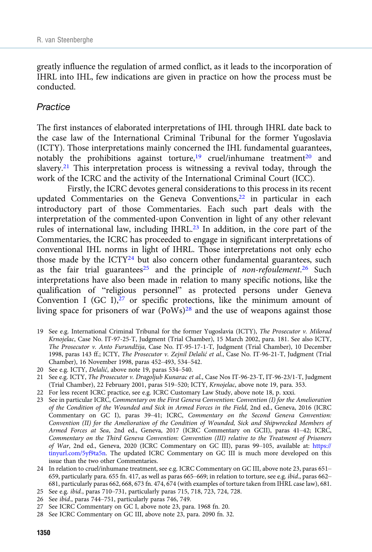greatly influence the regulation of armed conflict, as it leads to the incorporation of IHRL into IHL, few indications are given in practice on how the process must be conducted.

#### **Practice**

The first instances of elaborated interpretations of IHL through IHRL date back to the case law of the International Criminal Tribunal for the former Yugoslavia (ICTY). Those interpretations mainly concerned the IHL fundamental guarantees, notably the prohibitions against torture,<sup>19</sup> cruel/inhumane treatment<sup>20</sup> and slavery.<sup>21</sup> This interpretation process is witnessing a revival today, through the work of the ICRC and the activity of the International Criminal Court (ICC).

Firstly, the ICRC devotes general considerations to this process in its recent updated Commentaries on the Geneva Conventions,<sup>22</sup> in particular in each introductory part of those Commentaries. Each such part deals with the interpretation of the commented-upon Convention in light of any other relevant rules of international law, including IHRL.23 In addition, in the core part of the Commentaries, the ICRC has proceeded to engage in significant interpretations of conventional IHL norms in light of IHRL. Those interpretations not only echo those made by the ICTY<sup>24</sup> but also concern other fundamental guarantees, such as the fair trial guarantees<sup>25</sup> and the principle of non-refoulement.<sup>26</sup> Such interpretations have also been made in relation to many specific notions, like the qualification of "religious personnel" as protected persons under Geneva Convention I (GC I), $27$  or specific protections, like the minimum amount of living space for prisoners of war (PoWs)<sup>28</sup> and the use of weapons against those

- 19 See e.g. International Criminal Tribunal for the former Yugoslavia (ICTY), The Prosecutor v. Milorad Krnojelac, Case No. IT-97-25-T, Judgment (Trial Chamber), 15 March 2002, para. 181. See also ICTY, The Prosecutor v. Anto Furundžija, Case No. IT-95-17-1-T, Judgment (Trial Chamber), 10 December 1998, paras 143 ff.; ICTY, The Prosecutor v. Zejnil Delalić et al., Case No. IT-96-21-T, Judgment (Trial Chamber), 16 November 1998, paras 452–493, 534–542.
- 20 See e.g. ICTY, Delalić, above note 19, paras 534–540.
- 21 See e.g. ICTY, The Prosecutor v. Dragoljub Kunarac et al., Case Nos IT-96-23-T, IT-96-23/1-T, Judgment (Trial Chamber), 22 February 2001, paras 519–520; ICTY, Krnojelac, above note 19, para. 353.
- 22 For less recent ICRC practice, see e.g. ICRC Customary Law Study, above note 18, p. xxxi.
- 23 See in particular ICRC, Commentary on the First Geneva Convention: Convention (I) for the Amelioration of the Condition of the Wounded and Sick in Armed Forces in the Field, 2nd ed., Geneva, 2016 (ICRC Commentary on GC I), paras 39–41; ICRC, Commentary on the Second Geneva Convention: Convention (II) for the Amelioration of the Condition of Wounded, Sick and Shipwrecked Members of Armed Forces at Sea, 2nd ed., Geneva, 2017 (ICRC Commentary on GCII), paras 41–42; ICRC, Commentary on the Third Geneva Convention: Convention (III) relative to the Treatment of Prisoners of War, 2nd ed., Geneva, 2020 (ICRC Commentary on GC III), paras 99–105, available at: [https://](https://tinyurl.com/5yf9ta5n) [tinyurl.com/5yf9ta5n.](https://tinyurl.com/5yf9ta5n) The updated ICRC Commentary on GC III is much more developed on this issue than the two other Commentaries.
- 24 In relation to cruel/inhumane treatment, see e.g. ICRC Commentary on GC III, above note 23, paras 651– 659, particularly para. 655 fn. 417, as well as paras 665–669; in relation to torture, see e.g. ibid., paras 662– 681, particularly paras 662, 668, 673 fn. 474, 674 (with examples of torture taken from IHRL case law), 681.
- 25 See e.g. ibid., paras 710–731, particularly paras 715, 718, 723, 724, 728.
- 26 See ibid., paras 744–751, particularly paras 746, 749.
- 27 See ICRC Commentary on GC I, above note 23, para. 1968 fn. 20.
- 28 See ICRC Commentary on GC III, above note 23, para. 2090 fn. 32.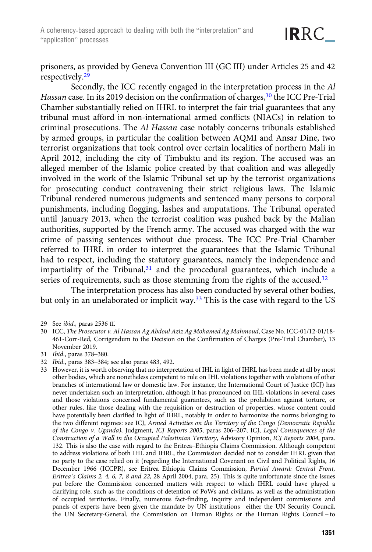prisoners, as provided by Geneva Convention III (GC III) under Articles 25 and 42 respectively.<sup>29</sup>

Secondly, the ICC recently engaged in the interpretation process in the Al Hassan case. In its 2019 decision on the confirmation of charges,<sup>30</sup> the ICC Pre-Trial Chamber substantially relied on IHRL to interpret the fair trial guarantees that any tribunal must afford in non-international armed conflicts (NIACs) in relation to criminal prosecutions. The Al Hassan case notably concerns tribunals established by armed groups, in particular the coalition between AQMI and Ansar Dine, two terrorist organizations that took control over certain localities of northern Mali in April 2012, including the city of Timbuktu and its region. The accused was an alleged member of the Islamic police created by that coalition and was allegedly involved in the work of the Islamic Tribunal set up by the terrorist organizations for prosecuting conduct contravening their strict religious laws. The Islamic Tribunal rendered numerous judgments and sentenced many persons to corporal punishments, including flogging, lashes and amputations. The Tribunal operated until January 2013, when the terrorist coalition was pushed back by the Malian authorities, supported by the French army. The accused was charged with the war crime of passing sentences without due process. The ICC Pre-Trial Chamber referred to IHRL in order to interpret the guarantees that the Islamic Tribunal had to respect, including the statutory guarantees, namely the independence and impartiality of the Tribunal,<sup>31</sup> and the procedural guarantees, which include a series of requirements, such as those stemming from the rights of the accused.<sup>32</sup>

The interpretation process has also been conducted by several other bodies, but only in an unelaborated or implicit way.33 This is the case with regard to the US

- 31 Ibid., paras 378–380.
- 32 Ibid., paras 383–384; see also paras 483, 492.
- 33 However, it is worth observing that no interpretation of IHL in light of IHRL has been made at all by most other bodies, which are nonetheless competent to rule on IHL violations together with violations of other branches of international law or domestic law. For instance, the International Court of Justice (ICJ) has never undertaken such an interpretation, although it has pronounced on IHL violations in several cases and those violations concerned fundamental guarantees, such as the prohibition against torture, or other rules, like those dealing with the requisition or destruction of properties, whose content could have potentially been clarified in light of IHRL, notably in order to harmonize the norms belonging to the two different regimes: see ICJ, Armed Activities on the Territory of the Congo (Democratic Republic of the Congo v. Uganda), Judgment, ICJ Reports 2005, paras 206–207; ICJ, Legal Consequences of the Construction of a Wall in the Occupied Palestinian Territory, Advisory Opinion, ICJ Reports 2004, para. 132. This is also the case with regard to the Eritrea–Ethiopia Claims Commission. Although competent to address violations of both IHL and IHRL, the Commission decided not to consider IHRL given that no party to the case relied on it (regarding the International Covenant on Civil and Political Rights, 16 December 1966 (ICCPR), see Eritrea–Ethiopia Claims Commission, Partial Award: Central Front, Eritrea's Claims 2, 4, 6, 7, 8 and 22, 28 April 2004, para. 25). This is quite unfortunate since the issues put before the Commission concerned matters with respect to which IHRL could have played a clarifying role, such as the conditions of detention of PoWs and civilians, as well as the administration of occupied territories. Finally, numerous fact-finding, inquiry and independent commissions and panels of experts have been given the mandate by UN institutions – either the UN Security Council, the UN Secretary-General, the Commission on Human Rights or the Human Rights Council – to

<sup>29</sup> See ibid., paras 2536 ff.

<sup>30</sup> ICC, The Prosecutor v. Al Hassan Ag Abdoul Aziz Ag Mohamed Ag Mahmoud, Case No. ICC-01/12-01/18- 461-Corr-Red, Corrigendum to the Decision on the Confirmation of Charges (Pre-Trial Chamber), 13 November 2019.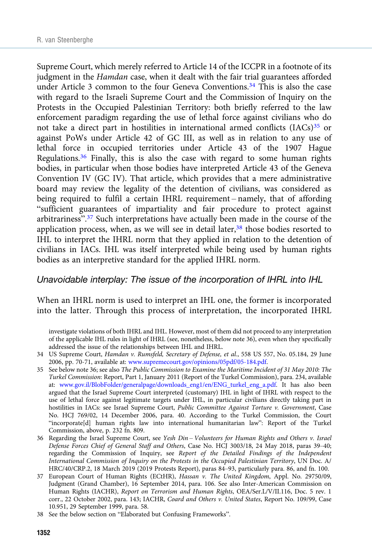Supreme Court, which merely referred to Article 14 of the ICCPR in a footnote of its judgment in the Hamdan case, when it dealt with the fair trial guarantees afforded under Article 3 common to the four Geneva Conventions.<sup>34</sup> This is also the case with regard to the Israeli Supreme Court and the Commission of Inquiry on the Protests in the Occupied Palestinian Territory: both briefly referred to the law enforcement paradigm regarding the use of lethal force against civilians who do not take a direct part in hostilities in international armed conflicts  $(IACs)^{35}$  or against PoWs under Article 42 of GC III, as well as in relation to any use of lethal force in occupied territories under Article 43 of the 1907 Hague Regulations.<sup>36</sup> Finally, this is also the case with regard to some human rights bodies, in particular when those bodies have interpreted Article 43 of the Geneva Convention IV (GC IV). That article, which provides that a mere administrative board may review the legality of the detention of civilians, was considered as being required to fulfil a certain IHRL requirement – namely, that of affording "sufficient guarantees of impartiality and fair procedure to protect against arbitrariness".<sup>37</sup> Such interpretations have actually been made in the course of the application process, when, as we will see in detail later, $38$  those bodies resorted to IHL to interpret the IHRL norm that they applied in relation to the detention of civilians in IACs. IHL was itself interpreted while being used by human rights bodies as an interpretive standard for the applied IHRL norm.

#### Unavoidable interplay: The issue of the incorporation of IHRL into IHL

When an IHRL norm is used to interpret an IHL one, the former is incorporated into the latter. Through this process of interpretation, the incorporated IHRL

investigate violations of both IHRL and IHL. However, most of them did not proceed to any interpretation of the applicable IHL rules in light of IHRL (see, nonetheless, below note 36), even when they specifically addressed the issue of the relationships between IHL and IHRL.

- 35 See below note 36; see also The Public Commission to Examine the Maritime Incident of 31 May 2010: The Turkel Commission: Report, Part 1, January 2011 (Report of the Turkel Commission), para. 234, available at: [www.gov.il/BlobFolder/generalpage/downloads\\_eng1/en/ENG\\_turkel\\_eng\\_a.pdf.](https://www.gov.il/BlobFolder/generalpage/downloads_eng1/en/ENG_turkel_eng_a.pdf) It has also been argued that the Israel Supreme Court interpreted (customary) IHL in light of IHRL with respect to the use of lethal force against legitimate targets under IHL, in particular civilians directly taking part in hostilities in IACs: see Israel Supreme Court, Public Committee Against Torture v. Government, Case No. HCJ 769/02, 14 December 2006, para. 40. According to the Turkel Commission, the Court "incorporate[d] human rights law into international humanitarian law": Report of the Turkel Commission, above, p. 232 fn. 809.
- 36 Regarding the Israel Supreme Court, see Yesh Din Volunteers for Human Rights and Others v. Israel Defense Forces Chief of General Staff and Others, Case No. HCJ 3003/18, 24 May 2018, paras 39–40; regarding the Commission of Inquiry, see Report of the Detailed Findings of the Independent International Commission of Inquiry on the Protests in the Occupied Palestinian Territory, UN Doc. A/ HRC/40/CRP.2, 18 March 2019 (2019 Protests Report), paras 84–93, particularly para. 86, and fn. 100.
- 37 European Court of Human Rights (ECtHR), Hassan v. The United Kingdom, Appl. No. 29750/09, Judgment (Grand Chamber), 16 September 2014, para. 106. See also Inter-American Commission on Human Rights (IACHR), Report on Terrorism and Human Rights, OEA/Ser.L/V/II.116, Doc. 5 rev. 1 corr., 22 October 2002, para. 143; IACHR, Coard and Others v. United States, Report No. 109/99, Case 10.951, 29 September 1999, para. 58.
- 38 See the below section on "Elaborated but Confusing Frameworks".

<sup>34</sup> US Supreme Court, Hamdan v. Rumsfeld, Secretary of Defense, et al., 558 US 557, No. 05.184, 29 June 2006, pp. 70-71, available at: [www.supremecourt.gov/opinions/05pdf/05-184.pdf.](https://www.supremecourt.gov/opinions/05pdf/05-184.pdf)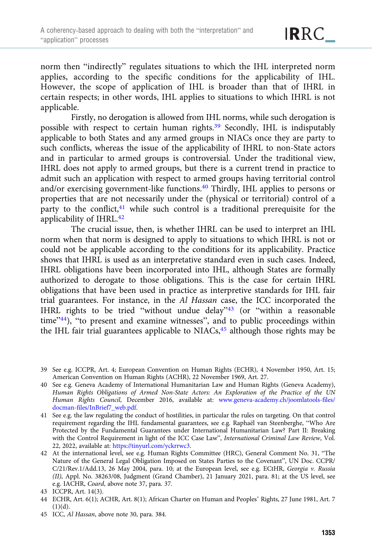norm then "indirectly" regulates situations to which the IHL interpreted norm applies, according to the specific conditions for the applicability of IHL. However, the scope of application of IHL is broader than that of IHRL in certain respects; in other words, IHL applies to situations to which IHRL is not applicable.

Firstly, no derogation is allowed from IHL norms, while such derogation is possible with respect to certain human rights.<sup>39</sup> Secondly, IHL is indisputably applicable to both States and any armed groups in NIACs once they are party to such conflicts, whereas the issue of the applicability of IHRL to non-State actors and in particular to armed groups is controversial. Under the traditional view, IHRL does not apply to armed groups, but there is a current trend in practice to admit such an application with respect to armed groups having territorial control and/or exercising government-like functions.40 Thirdly, IHL applies to persons or properties that are not necessarily under the (physical or territorial) control of a party to the conflict, $41$  while such control is a traditional prerequisite for the applicability of IHRL.<sup>42</sup>

The crucial issue, then, is whether IHRL can be used to interpret an IHL norm when that norm is designed to apply to situations to which IHRL is not or could not be applicable according to the conditions for its applicability. Practice shows that IHRL is used as an interpretative standard even in such cases. Indeed, IHRL obligations have been incorporated into IHL, although States are formally authorized to derogate to those obligations. This is the case for certain IHRL obligations that have been used in practice as interpretive standards for IHL fair trial guarantees. For instance, in the Al Hassan case, the ICC incorporated the IHRL rights to be tried "without undue delay"<sup>43</sup> (or "within a reasonable time"44), "to present and examine witnesses", and to public proceedings within the IHL fair trial guarantees applicable to NIACs,<sup>45</sup> although those rights may be

<sup>39</sup> See e.g. ICCPR, Art. 4; European Convention on Human Rights (ECHR), 4 November 1950, Art. 15; American Convention on Human Rights (ACHR), 22 November 1969, Art. 27.

<sup>40</sup> See e.g. Geneva Academy of International Humanitarian Law and Human Rights (Geneva Academy), Human Rights Obligations of Armed Non-State Actors: An Exploration of the Practice of the UN Human Rights Council, December 2016, available at: [www.geneva-academy.ch/joomlatools-files/](https://www.geneva-academy.ch/joomlatools-files/docman-files/InBrief7_web.pdf) [docman-files/InBrief7\\_web.pdf.](https://www.geneva-academy.ch/joomlatools-files/docman-files/InBrief7_web.pdf)

<sup>41</sup> See e.g. the law regulating the conduct of hostilities, in particular the rules on targeting. On that control requirement regarding the IHL fundamental guarantees, see e.g. Raphaël van Steenberghe, "Who Are Protected by the Fundamental Guarantees under International Humanitarian Law? Part II: Breaking with the Control Requirement in light of the ICC Case Law", International Criminal Law Review, Vol. 22, 2022, available at: <https://tinyurl.com/yckrrwc3>.

<sup>42</sup> At the international level, see e.g. Human Rights Committee (HRC), General Comment No. 31, "The Nature of the General Legal Obligation Imposed on States Parties to the Covenant", UN Doc. CCPR/  $C/21/Rev.1/Add.13$ , 26 May 2004, para. 10; at the European level, see e.g. ECtHR, Georgia v. Russia (II), Appl. No. 38263/08, Judgment (Grand Chamber), 21 January 2021, para. 81; at the US level, see e.g. IACHR, Coard, above note 37, para. 37.

<sup>43</sup> ICCPR, Art. 14(3).

<sup>44</sup> ECHR, Art. 6(1); ACHR, Art. 8(1); African Charter on Human and Peoples' Rights, 27 June 1981, Art. 7  $(1)(d)$ .

<sup>45</sup> ICC, Al Hassan, above note 30, para. 384.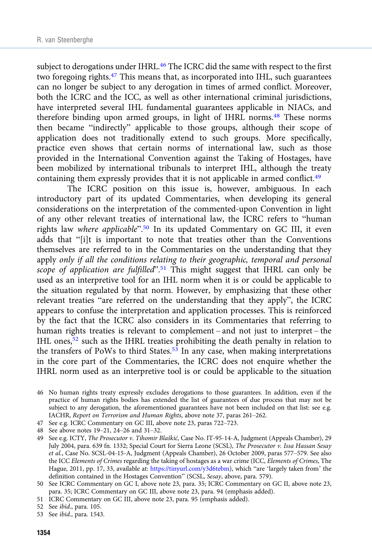subject to derogations under IHRL.<sup>46</sup> The ICRC did the same with respect to the first two foregoing rights.47 This means that, as incorporated into IHL, such guarantees can no longer be subject to any derogation in times of armed conflict. Moreover, both the ICRC and the ICC, as well as other international criminal jurisdictions, have interpreted several IHL fundamental guarantees applicable in NIACs, and therefore binding upon armed groups, in light of IHRL norms.<sup>48</sup> These norms then became "indirectly" applicable to those groups, although their scope of application does not traditionally extend to such groups. More specifically, practice even shows that certain norms of international law, such as those provided in the International Convention against the Taking of Hostages, have been mobilized by international tribunals to interpret IHL, although the treaty containing them expressly provides that it is not applicable in armed conflict.<sup>49</sup>

The ICRC position on this issue is, however, ambiguous. In each introductory part of its updated Commentaries, when developing its general considerations on the interpretation of the commented-upon Convention in light of any other relevant treaties of international law, the ICRC refers to "human rights law where applicable".<sup>50</sup> In its updated Commentary on GC III, it even adds that "[i]t is important to note that treaties other than the Conventions themselves are referred to in the Commentaries on the understanding that they apply only if all the conditions relating to their geographic, temporal and personal scope of application are fulfilled".<sup>51</sup> This might suggest that IHRL can only be used as an interpretive tool for an IHL norm when it is or could be applicable to the situation regulated by that norm. However, by emphasizing that these other relevant treaties "are referred on the understanding that they apply", the ICRC appears to confuse the interpretation and application processes. This is reinforced by the fact that the ICRC also considers in its Commentaries that referring to human rights treaties is relevant to complement – and not just to interpret – the IHL ones,<sup>52</sup> such as the IHRL treaties prohibiting the death penalty in relation to the transfers of PoWs to third States.<sup>53</sup> In any case, when making interpretations in the core part of the Commentaries, the ICRC does not enquire whether the IHRL norm used as an interpretive tool is or could be applicable to the situation

- 47 See e.g. ICRC Commentary on GC III, above note 23, paras 722–723.
- 48 See above notes 19–21, 24–26 and 31–32.

- 51 ICRC Commentary on GC III, above note 23, para. 95 (emphasis added).
- 52 See ibid., para. 105.

<sup>46</sup> No human rights treaty expressly excludes derogations to those guarantees. In addition, even if the practice of human rights bodies has extended the list of guarantees of due process that may not be subject to any derogation, the aforementioned guarantees have not been included on that list: see e.g. IACHR, Report on Terrorism and Human Rights, above note 37, paras 261–262.

<sup>49</sup> See e.g. ICTY, The Prosecutor v. Tihomir Blaškić, Case No. IT-95-14-A, Judgment (Appeals Chamber), 29 July 2004, para. 639 fn. 1332; Special Court for Sierra Leone (SCSL), The Prosecutor v. Issa Hassan Sesay et al., Case No. SCSL-04-15-A, Judgment (Appeals Chamber), 26 October 2009, paras 577–579. See also the ICC Elements of Crimes regarding the taking of hostages as a war crime (ICC, Elements of Crimes, The Hague, 2011, pp. 17, 33, available at: [https://tinyurl.com/y3d6tebm\)](https://tinyurl.com/y3d6tebm), which "are 'largely taken from' the definition contained in the Hostages Convention" (SCSL, Sesay, above, para. 579).

<sup>50</sup> See ICRC Commentary on GC I, above note 23, para. 35; ICRC Commentary on GC II, above note 23, para. 35; ICRC Commentary on GC III, above note 23, para. 94 (emphasis added).

<sup>53</sup> See ibid., para. 1543.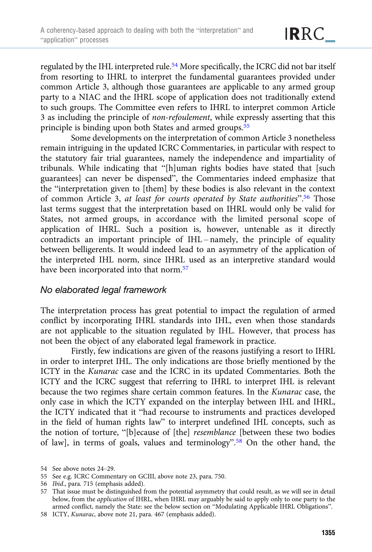regulated by the IHL interpreted rule.<sup>54</sup> More specifically, the ICRC did not bar itself from resorting to IHRL to interpret the fundamental guarantees provided under common Article 3, although those guarantees are applicable to any armed group party to a NIAC and the IHRL scope of application does not traditionally extend to such groups. The Committee even refers to IHRL to interpret common Article 3 as including the principle of non-refoulement, while expressly asserting that this principle is binding upon both States and armed groups.<sup>55</sup>

Some developments on the interpretation of common Article 3 nonetheless remain intriguing in the updated ICRC Commentaries, in particular with respect to the statutory fair trial guarantees, namely the independence and impartiality of tribunals. While indicating that "[h]uman rights bodies have stated that [such guarantees] can never be dispensed", the Commentaries indeed emphasize that the "interpretation given to [them] by these bodies is also relevant in the context of common Article 3, at least for courts operated by State authorities".<sup>56</sup> Those last terms suggest that the interpretation based on IHRL would only be valid for States, not armed groups, in accordance with the limited personal scope of application of IHRL. Such a position is, however, untenable as it directly contradicts an important principle of IHL – namely, the principle of equality between belligerents. It would indeed lead to an asymmetry of the application of the interpreted IHL norm, since IHRL used as an interpretive standard would have been incorporated into that norm.<sup>57</sup>

#### No elaborated legal framework

The interpretation process has great potential to impact the regulation of armed conflict by incorporating IHRL standards into IHL, even when those standards are not applicable to the situation regulated by IHL. However, that process has not been the object of any elaborated legal framework in practice.

Firstly, few indications are given of the reasons justifying a resort to IHRL in order to interpret IHL. The only indications are those briefly mentioned by the ICTY in the Kunarac case and the ICRC in its updated Commentaries. Both the ICTY and the ICRC suggest that referring to IHRL to interpret IHL is relevant because the two regimes share certain common features. In the Kunarac case, the only case in which the ICTY expanded on the interplay between IHL and IHRL, the ICTY indicated that it "had recourse to instruments and practices developed in the field of human rights law" to interpret undefined IHL concepts, such as the notion of torture, "[b]ecause of [the] resemblance [between these two bodies of law], in terms of goals, values and terminology".<sup>58</sup> On the other hand, the

<sup>54</sup> See above notes 24–29.

<sup>55</sup> See e.g. ICRC Commentary on GCIII, above note 23, para. 750.

<sup>56</sup> Ibid., para. 715 (emphasis added).

<sup>57</sup> That issue must be distinguished from the potential asymmetry that could result, as we will see in detail below, from the application of IHRL, when IHRL may arguably be said to apply only to one party to the armed conflict, namely the State: see the below section on "Modulating Applicable IHRL Obligations".

<sup>58</sup> ICTY, Kunarac, above note 21, para. 467 (emphasis added).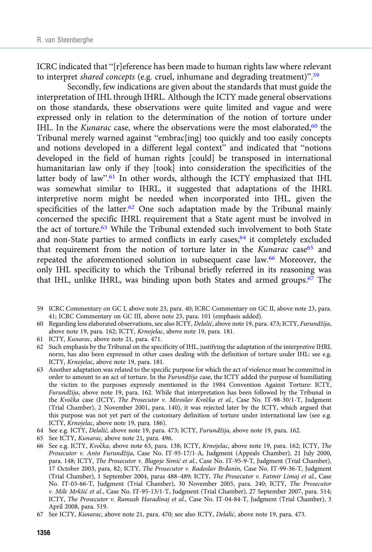ICRC indicated that "[r]eference has been made to human rights law where relevant to interpret shared concepts (e.g. cruel, inhumane and degrading treatment)".<sup>59</sup>

Secondly, few indications are given about the standards that must guide the interpretation of IHL through IHRL. Although the ICTY made general observations on those standards, these observations were quite limited and vague and were expressed only in relation to the determination of the notion of torture under IHL. In the Kunarac case, where the observations were the most elaborated, $60$  the Tribunal merely warned against "embrac[ing] too quickly and too easily concepts and notions developed in a different legal context" and indicated that "notions developed in the field of human rights [could] be transposed in international humanitarian law only if they [took] into consideration the specificities of the latter body of law".<sup>61</sup> In other words, although the ICTY emphasized that IHL was somewhat similar to IHRL, it suggested that adaptations of the IHRL interpretive norm might be needed when incorporated into IHL, given the specificities of the latter.<sup>62</sup> One such adaptation made by the Tribunal mainly concerned the specific IHRL requirement that a State agent must be involved in the act of torture.63 While the Tribunal extended such involvement to both State and non-State parties to armed conflicts in early cases,<sup>64</sup> it completely excluded that requirement from the notion of torture later in the Kunarac case<sup>65</sup> and repeated the aforementioned solution in subsequent case law.66 Moreover, the only IHL specificity to which the Tribunal briefly referred in its reasoning was that IHL, unlike IHRL, was binding upon both States and armed groups.<sup>67</sup> The

- 59 ICRC Commentary on GC I, above note 23, para. 40; ICRC Commentary on GC II, above note 23, para. 41; ICRC Commentary on GC III, above note 23, para. 101 (emphasis added).
- 60 Regarding less elaborated observations, see also ICTY, Delalić, above note 19, para. 473; ICTY, Furundžija, above note 19, para. 162; ICTY, Krnojelac, above note 19, para. 181.
- 61 ICTY, Kunarac, above note 21, para. 471.
- 62 Such emphasis by the Tribunal on the specificity of IHL, justifying the adaptation of the interpretive IHRL norm, has also been expressed in other cases dealing with the definition of torture under IHL: see e.g. ICTY, Krnojelac, above note 19, para. 181.
- 63 Another adaptation was related to the specific purpose for which the act of violence must be committed in order to amount to an act of torture. In the Furundžija case, the ICTY added the purpose of humiliating the victim to the purposes expressly mentioned in the 1984 Convention Against Torture: ICTY, Furundžija, above note 19, para. 162. While that interpretation has been followed by the Tribunal in the Kvočka case (ICTY, The Prosecutor v. Miroslav Kvočka et al., Case No. IT-98-30/1-T, Judgment (Trial Chamber), 2 November 2001, para. 140), it was rejected later by the ICTY, which argued that this purpose was not yet part of the customary definition of torture under international law (see e.g. ICTY, Krnojelac, above note 19, para. 186).
- 64 See e.g. ICTY, Delalić, above note 19, para. 473; ICTY, Furundžija, above note 19, para. 162.
- 65 See ICTY, Kunarac, above note 21, para. 496.
- 66 See e.g. ICTY, Kvočka, above note 63, para. 138; ICTY, Krnojelac, above note 19, para. 162; ICTY, The Prosecutor v. Anto Furundžija, Case No. IT-95-17/1-A, Judgment (Appeals Chamber), 21 July 2000, para. 148; ICTY, The Prosecutor v. Blagoje Simić et al., Case No. IT-95-9-T, Judgment (Trial Chamber), 17 October 2003, para. 82; ICTY, The Prosecutor v. Radoslav Brđanin, Case No. IT-99-36-T, Judgment (Trial Chamber), 1 September 2004, paras 488–489; ICTY, The Prosecutor v. Fatmir Limaj et al., Case No. IT-03-66-T, Judgment (Trial Chamber), 30 November 2005, para. 240; ICTY, The Prosecutor v. Mile Mrkšić et al., Case No. IT-95-13/1-T, Judgment (Trial Chamber), 27 September 2007, para. 514; ICTY, The Prosecutor v. Ramush Haradinaj et al., Case No. IT-04-84-T, Judgment (Trial Chamber), 3 April 2008, para. 519.
- 67 See ICTY, Kunarac, above note 21, para. 470; see also ICTY, Delalić, above note 19, para. 473.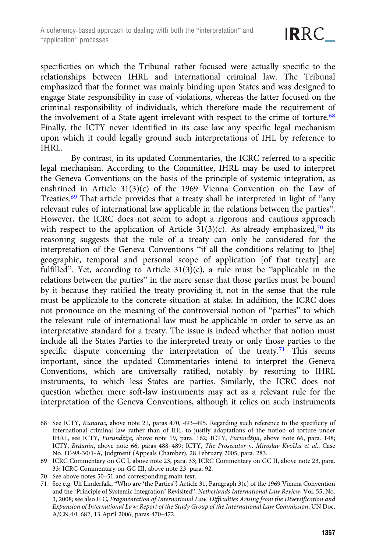specificities on which the Tribunal rather focused were actually specific to the relationships between IHRL and international criminal law. The Tribunal emphasized that the former was mainly binding upon States and was designed to engage State responsibility in case of violations, whereas the latter focused on the criminal responsibility of individuals, which therefore made the requirement of the involvement of a State agent irrelevant with respect to the crime of torture.<sup>68</sup> Finally, the ICTY never identified in its case law any specific legal mechanism upon which it could legally ground such interpretations of IHL by reference to IHRL.

By contrast, in its updated Commentaries, the ICRC referred to a specific legal mechanism. According to the Committee, IHRL may be used to interpret the Geneva Conventions on the basis of the principle of systemic integration, as enshrined in Article 31(3)(c) of the 1969 Vienna Convention on the Law of Treaties.69 That article provides that a treaty shall be interpreted in light of "any relevant rules of international law applicable in the relations between the parties". However, the ICRC does not seem to adopt a rigorous and cautious approach with respect to the application of Article  $31(3)(c)$ . As already emphasized,<sup>70</sup> its reasoning suggests that the rule of a treaty can only be considered for the interpretation of the Geneva Conventions "if all the conditions relating to [the] geographic, temporal and personal scope of application [of that treaty] are fulfilled". Yet, according to Article  $31(3)(c)$ , a rule must be "applicable in the relations between the parties" in the mere sense that those parties must be bound by it because they ratified the treaty providing it, not in the sense that the rule must be applicable to the concrete situation at stake. In addition, the ICRC does not pronounce on the meaning of the controversial notion of "parties" to which the relevant rule of international law must be applicable in order to serve as an interpretative standard for a treaty. The issue is indeed whether that notion must include all the States Parties to the interpreted treaty or only those parties to the specific dispute concerning the interpretation of the treaty.<sup>71</sup> This seems important, since the updated Commentaries intend to interpret the Geneva Conventions, which are universally ratified, notably by resorting to IHRL instruments, to which less States are parties. Similarly, the ICRC does not question whether mere soft-law instruments may act as a relevant rule for the interpretation of the Geneva Conventions, although it relies on such instruments

- 68 See ICTY, Kunarac, above note 21, paras 470, 493–495. Regarding such reference to the specificity of international criminal law rather than of IHL to justify adaptations of the notion of torture under IHRL, see ICTY, Furundžija, above note 19, para. 162; ICTY, Furundžija, above note 66, para. 148; ICTY, Brđanin, above note 66, paras 488-489; ICTY, The Prosecutor v. Miroslav Kvočka et al., Case No. IT-98-30/1-A, Judgment (Appeals Chamber), 28 February 2005, para. 283.
- 69 ICRC Commentary on GC I, above note 23, para. 33; ICRC Commentary on GC II, above note 23, para. 33; ICRC Commentary on GC III, above note 23, para. 92.
- 70 See above notes 50–51 and corresponding main text.
- 71 See e.g. Ulf Linderfalk, "Who are 'the Parties'? Article 31, Paragraph 3(c) of the 1969 Vienna Convention and the 'Principle of Systemic Integration' Revisited", Netherlands International Law Review, Vol. 55, No. 3, 2008; see also ILC, Fragmentation of International Law: Difficulties Arising from the Diversification and Expansion of International Law: Report of the Study Group of the International Law Commission, UN Doc. A/CN.4/L.682, 13 April 2006, paras 470–472.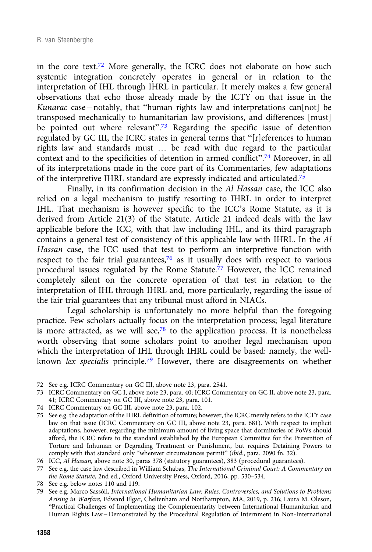in the core text.<sup>72</sup> More generally, the ICRC does not elaborate on how such systemic integration concretely operates in general or in relation to the interpretation of IHL through IHRL in particular. It merely makes a few general observations that echo those already made by the ICTY on that issue in the Kunarac case-notably, that "human rights law and interpretations can[not] be transposed mechanically to humanitarian law provisions, and differences [must] be pointed out where relevant".<sup>73</sup> Regarding the specific issue of detention regulated by GC III, the ICRC states in general terms that "[r]eferences to human rights law and standards must … be read with due regard to the particular context and to the specificities of detention in armed conflict".<sup>74</sup> Moreover, in all of its interpretations made in the core part of its Commentaries, few adaptations of the interpretive IHRL standard are expressly indicated and articulated.75

Finally, in its confirmation decision in the Al Hassan case, the ICC also relied on a legal mechanism to justify resorting to IHRL in order to interpret IHL. That mechanism is however specific to the ICC's Rome Statute, as it is derived from Article 21(3) of the Statute. Article 21 indeed deals with the law applicable before the ICC, with that law including IHL, and its third paragraph contains a general test of consistency of this applicable law with IHRL. In the Al Hassan case, the ICC used that test to perform an interpretive function with respect to the fair trial guarantees, $76$  as it usually does with respect to various procedural issues regulated by the Rome Statute.<sup>77</sup> However, the ICC remained completely silent on the concrete operation of that test in relation to the interpretation of IHL through IHRL and, more particularly, regarding the issue of the fair trial guarantees that any tribunal must afford in NIACs.

Legal scholarship is unfortunately no more helpful than the foregoing practice. Few scholars actually focus on the interpretation process; legal literature is more attracted, as we will see, $78$  to the application process. It is nonetheless worth observing that some scholars point to another legal mechanism upon which the interpretation of IHL through IHRL could be based: namely, the wellknown lex specialis principle.<sup>79</sup> However, there are disagreements on whether

- 74 ICRC Commentary on GC III, above note 23, para. 102.
- 75 See e.g. the adaptation of the IHRL definition of torture; however, the ICRC merely refers to the ICTY case law on that issue (ICRC Commentary on GC III, above note 23, para. 681). With respect to implicit adaptations, however, regarding the minimum amount of living space that dormitories of PoWs should afford, the ICRC refers to the standard established by the European Committee for the Prevention of Torture and Inhuman or Degrading Treatment or Punishment, but requires Detaining Powers to comply with that standard only "wherever circumstances permit" (ibid., para. 2090 fn. 32).
- 76 ICC, Al Hassan, above note 30, paras 378 (statutory guarantees), 383 (procedural guarantees).

77 See e.g. the case law described in William Schabas, The International Criminal Court: A Commentary on the Rome Statute, 2nd ed., Oxford University Press, Oxford, 2016, pp. 530–534.

- 78 See e.g. below notes 110 and 119.
- 79 See e.g. Marco Sassòli, International Humanitarian Law: Rules, Controversies, and Solutions to Problems Arising in Warfare, Edward Elgar, Cheltenham and Northampton, MA, 2019, p. 216; Laura M. Oleson, "Practical Challenges of Implementing the Complementarity between International Humanitarian and Human Rights Law – Demonstrated by the Procedural Regulation of Internment in Non-International

<sup>72</sup> See e.g. ICRC Commentary on GC III, above note 23, para. 2541.

<sup>73</sup> ICRC Commentary on GC I, above note 23, para. 40; ICRC Commentary on GC II, above note 23, para. 41; ICRC Commentary on GC III, above note 23, para. 101.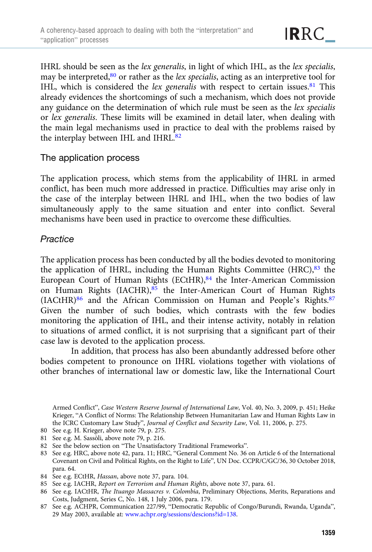IHRL should be seen as the lex generalis, in light of which IHL, as the lex specialis, may be interpreted, $80$  or rather as the *lex specialis*, acting as an interpretive tool for IHL, which is considered the lex generalis with respect to certain issues.<sup>81</sup> This already evidences the shortcomings of such a mechanism, which does not provide any guidance on the determination of which rule must be seen as the lex specialis or lex generalis. These limits will be examined in detail later, when dealing with the main legal mechanisms used in practice to deal with the problems raised by the interplay between IHL and IHRL.<sup>82</sup>

## The application process

The application process, which stems from the applicability of IHRL in armed conflict, has been much more addressed in practice. Difficulties may arise only in the case of the interplay between IHRL and IHL, when the two bodies of law simultaneously apply to the same situation and enter into conflict. Several mechanisms have been used in practice to overcome these difficulties.

## **Practice**

The application process has been conducted by all the bodies devoted to monitoring the application of IHRL, including the Human Rights Committee  $(HRC),<sup>83</sup>$  the European Court of Human Rights (ECtHR),<sup>84</sup> the Inter-American Commission on Human Rights (IACHR),<sup>85</sup> the Inter-American Court of Human Rights (IACtHR)<sup>86</sup> and the African Commission on Human and People's Rights.<sup>87</sup> Given the number of such bodies, which contrasts with the few bodies monitoring the application of IHL, and their intense activity, notably in relation to situations of armed conflict, it is not surprising that a significant part of their case law is devoted to the application process.

In addition, that process has also been abundantly addressed before other bodies competent to pronounce on IHRL violations together with violations of other branches of international law or domestic law, like the International Court

Armed Conflict", Case Western Reserve Journal of International Law, Vol. 40, No. 3, 2009, p. 451; Heike Krieger, "A Conflict of Norms: The Relationship Between Humanitarian Law and Human Rights Law in the ICRC Customary Law Study", Journal of Conflict and Security Law, Vol. 11, 2006, p. 275.

- 80 See e.g. H. Krieger, above note 79, p. 275.
- 81 See e.g. M. Sassòli, above note 79, p. 216.
- 82 See the below section on "The Unsatisfactory Traditional Frameworks".
- 83 See e.g. HRC, above note 42, para. 11; HRC, "General Comment No. 36 on Article 6 of the International Covenant on Civil and Political Rights, on the Right to Life", UN Doc. CCPR/C/GC/36, 30 October 2018, para. 64.
- 84 See e.g. ECtHR, Hassan, above note 37, para. 104.
- 85 See e.g. IACHR, Report on Terrorism and Human Rights, above note 37, para. 61.
- 86 See e.g. IACtHR, The Ituango Massacres v. Colombia, Preliminary Objections, Merits, Reparations and Costs, Judgment, Series C, No. 148, 1 July 2006, para. 179.
- 87 See e.g. ACHPR, Communication 227/99, "Democratic Republic of Congo/Burundi, Rwanda, Uganda", 29 May 2003, available at: [www.achpr.org/sessions/descions?id=138.](https://www.achpr.org/sessions/descions?id=138)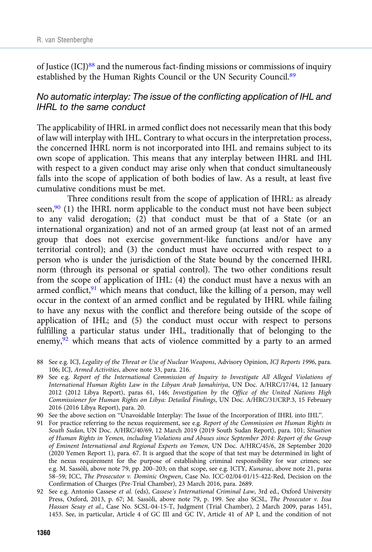of Justice  $(ICI)^{88}$  and the numerous fact-finding missions or commissions of inquiry established by the Human Rights Council or the UN Security Council.<sup>89</sup>

## No automatic interplay: The issue of the conflicting application of IHL and IHRL to the same conduct

The applicability of IHRL in armed conflict does not necessarily mean that this body of law will interplay with IHL. Contrary to what occurs in the interpretation process, the concerned IHRL norm is not incorporated into IHL and remains subject to its own scope of application. This means that any interplay between IHRL and IHL with respect to a given conduct may arise only when that conduct simultaneously falls into the scope of application of both bodies of law. As a result, at least five cumulative conditions must be met.

Three conditions result from the scope of application of IHRL: as already seen, $90$  (1) the IHRL norm applicable to the conduct must not have been subject to any valid derogation; (2) that conduct must be that of a State (or an international organization) and not of an armed group (at least not of an armed group that does not exercise government-like functions and/or have any territorial control); and (3) the conduct must have occurred with respect to a person who is under the jurisdiction of the State bound by the concerned IHRL norm (through its personal or spatial control). The two other conditions result from the scope of application of IHL: (4) the conduct must have a nexus with an armed conflict, $91$  which means that conduct, like the killing of a person, may well occur in the context of an armed conflict and be regulated by IHRL while failing to have any nexus with the conflict and therefore being outside of the scope of application of IHL; and (5) the conduct must occur with respect to persons fulfilling a particular status under IHL, traditionally that of belonging to the enemy, $92$  which means that acts of violence committed by a party to an armed

- 88 See e.g. ICJ, Legality of the Threat or Use of Nuclear Weapons, Advisory Opinion, ICJ Reports 1996, para. 106; ICJ, Armed Activities, above note 33, para. 216.
- 89 See e.g. Report of the International Commission of Inquiry to Investigate All Alleged Violations of International Human Rights Law in the Libyan Arab Jamahiriya, UN Doc. A/HRC/17/44, 12 January 2012 (2012 Libya Report), paras 61, 146; Investigation by the Office of the United Nations High Commissioner for Human Rights on Libya: Detailed Findings, UN Doc. A/HRC/31/CRP.3, 15 February 2016 (2016 Libya Report), para. 20.
- 90 See the above section on "Unavoidable Interplay: The Issue of the Incorporation of IHRL into IHL".
- 91 For practice referring to the nexus requirement, see e.g. Report of the Commission on Human Rights in South Sudan, UN Doc. A/HRC/40/69, 12 March 2019 (2019 South Sudan Report), para. 101; Situation of Human Rights in Yemen, including Violations and Abuses since September 2014: Report of the Group of Eminent International and Regional Experts on Yemen, UN Doc. A/HRC/45/6, 28 September 2020 (2020 Yemen Report 1), para. 67. It is argued that the scope of that test may be determined in light of the nexus requirement for the purpose of establishing criminal responsibility for war crimes; see e.g. M. Sassòli, above note 79, pp. 200–203; on that scope, see e.g. ICTY, Kunarac, above note 21, paras 58–59; ICC, The Prosecutor v. Dominic Ongwen, Case No. ICC-02/04-01/15-422-Red, Decision on the Confirmation of Charges (Pre-Trial Chamber), 23 March 2016, para. 2689.
- 92 See e.g. Antonio Cassese et al. (eds), Cassese's International Criminal Law, 3rd ed., Oxford University Press, Oxford, 2013, p. 67; M. Sassòli, above note 79, p. 199. See also SCSL, The Prosecutor v. Issa Hassan Sesay et al., Case No. SCSL-04-15-T, Judgment (Trial Chamber), 2 March 2009, paras 1451, 1453. See, in particular, Article 4 of GC III and GC IV, Article 41 of AP I, and the condition of not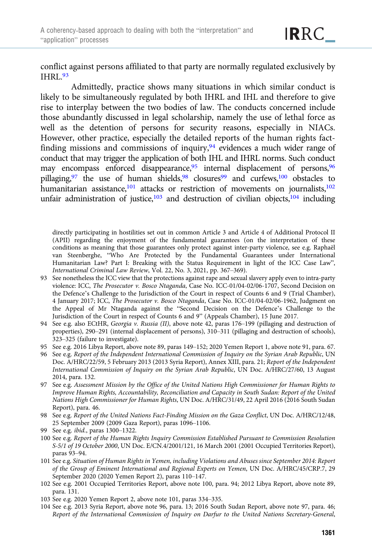conflict against persons affiliated to that party are normally regulated exclusively by IHRL.93

Admittedly, practice shows many situations in which similar conduct is likely to be simultaneously regulated by both IHRL and IHL and therefore to give rise to interplay between the two bodies of law. The conducts concerned include those abundantly discussed in legal scholarship, namely the use of lethal force as well as the detention of persons for security reasons, especially in NIACs. However, other practice, especially the detailed reports of the human rights factfinding missions and commissions of inquiry,  $94$  evidences a much wider range of conduct that may trigger the application of both IHL and IHRL norms. Such conduct may encompass enforced disappearance,<sup>95</sup> internal displacement of persons,<sup>96</sup> pillaging,<sup>97</sup> the use of human shields,<sup>98</sup> closures<sup>99</sup> and curfews,<sup>100</sup> obstacles to humanitarian assistance,<sup>101</sup> attacks or restriction of movements on journalists,<sup>102</sup> unfair administration of justice, $103$  and destruction of civilian objects, $104$  including

directly participating in hostilities set out in common Article 3 and Article 4 of Additional Protocol II (APII) regarding the enjoyment of the fundamental guarantees (on the interpretation of these conditions as meaning that those guarantees only protect against inter-party violence, see e.g. Raphaël van Steenberghe, "Who Are Protected by the Fundamental Guarantees under International Humanitarian Law? Part I: Breaking with the Status Requirement in light of the ICC Case Law", International Criminal Law Review, Vol. 22, No. 3, 2021, pp. 367–369).

- 93 See nonetheless the ICC view that the protections against rape and sexual slavery apply even to intra-party violence: ICC, The Prosecutor v. Bosco Ntaganda, Case No. ICC-01/04-02/06-1707, Second Decision on the Defence's Challenge to the Jurisdiction of the Court in respect of Counts 6 and 9 (Trial Chamber), 4 January 2017; ICC, The Prosecutor v. Bosco Ntaganda, Case No. ICC-01/04-02/06-1962, Judgment on the Appeal of Mr Ntaganda against the "Second Decision on the Defence's Challenge to the Jurisdiction of the Court in respect of Counts 6 and 9" (Appeals Chamber), 15 June 2017.
- 94 See e.g. also ECtHR, Georgia v. Russia (II), above note 42, paras 176–199 (pillaging and destruction of properties), 290–291 (internal displacement of persons), 310–311 (pillaging and destruction of schools), 323–325 (failure to investigate).
- 95 See e.g. 2016 Libya Report, above note 89, paras 149–152; 2020 Yemen Report 1, above note 91, para. 67.
- 96 See e.g. Report of the Independent International Commission of Inquiry on the Syrian Arab Republic, UN Doc. A/HRC/22/59, 5 February 2013 (2013 Syria Report), Annex XIII, para. 21; Report of the Independent International Commission of Inquiry on the Syrian Arab Republic, UN Doc. A/HRC/27/60, 13 August 2014, para. 132.
- 97 See e.g. Assessment Mission by the Office of the United Nations High Commissioner for Human Rights to Improve Human Rights, Accountability, Reconciliation and Capacity in South Sudan: Report of the United Nations High Commissioner for Human Rights, UN Doc. A/HRC/31/49, 22 April 2016 (2016 South Sudan Report), para. 46.
- 98 See e.g. Report of the United Nations Fact-Finding Mission on the Gaza Conflict, UN Doc. A/HRC/12/48, 25 September 2009 (2009 Gaza Report), paras 1096–1106.
- 99 See e.g. ibid., paras 1300–1322.
- 100 See e.g. Report of the Human Rights Inquiry Commission Established Pursuant to Commission Resolution S-5/1 of 19 October 2000, UN Doc. E/CN.4/2001/121, 16 March 2001 (2001 Occupied Territories Report), paras 93–94.
- 101 See e.g. Situation of Human Rights in Yemen, including Violations and Abuses since September 2014: Report of the Group of Eminent International and Regional Experts on Yemen, UN Doc. A/HRC/45/CRP.7, 29 September 2020 (2020 Yemen Report 2), paras 110–147.
- 102 See e.g. 2001 Occupied Territories Report, above note 100, para. 94; 2012 Libya Report, above note 89, para. 131.
- 103 See e.g. 2020 Yemen Report 2, above note 101, paras 334–335.
- 104 See e.g. 2013 Syria Report, above note 96, para. 13; 2016 South Sudan Report, above note 97, para. 46; Report of the International Commission of Inquiry on Darfur to the United Nations Secretary-General,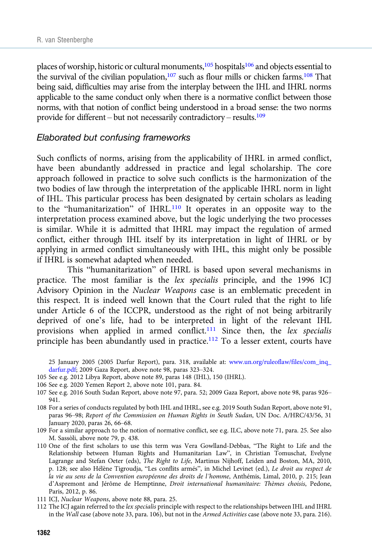places of worship, historic or cultural monuments, $105$  hospitals $106$  and objects essential to the survival of the civilian population,<sup>107</sup> such as flour mills or chicken farms.<sup>108</sup> That being said, difficulties may arise from the interplay between the IHL and IHRL norms applicable to the same conduct only when there is a normative conflict between those norms, with that notion of conflict being understood in a broad sense: the two norms provide for different – but not necessarily contradictory – results.109

#### Elaborated but confusing frameworks

Such conflicts of norms, arising from the applicability of IHRL in armed conflict, have been abundantly addressed in practice and legal scholarship. The core approach followed in practice to solve such conflicts is the harmonization of the two bodies of law through the interpretation of the applicable IHRL norm in light of IHL. This particular process has been designated by certain scholars as leading to the "humanitarization" of IHRL.110 It operates in an opposite way to the interpretation process examined above, but the logic underlying the two processes is similar. While it is admitted that IHRL may impact the regulation of armed conflict, either through IHL itself by its interpretation in light of IHRL or by applying in armed conflict simultaneously with IHL, this might only be possible if IHRL is somewhat adapted when needed.

This "humanitarization" of IHRL is based upon several mechanisms in practice. The most familiar is the lex specialis principle, and the 1996 ICJ Advisory Opinion in the Nuclear Weapons case is an emblematic precedent in this respect. It is indeed well known that the Court ruled that the right to life under Article 6 of the ICCPR, understood as the right of not being arbitrarily deprived of one's life, had to be interpreted in light of the relevant IHL provisions when applied in armed conflict.<sup>111</sup> Since then, the lex specialis principle has been abundantly used in practice.<sup>112</sup> To a lesser extent, courts have

25 January 2005 (2005 Darfur Report), para. 318, available at: [www.un.org/ruleoflaw/files/com\\_inq\\_](https://www.un.org/ruleoflaw/files/com_inq_darfur.pdf) [darfur.pdf;](https://www.un.org/ruleoflaw/files/com_inq_darfur.pdf) 2009 Gaza Report, above note 98, paras 323–324.

- 105 See e.g. 2012 Libya Report, above note 89, paras 148 (IHL), 150 (IHRL).
- 106 See e.g. 2020 Yemen Report 2, above note 101, para. 84.
- 107 See e.g. 2016 South Sudan Report, above note 97, para. 52; 2009 Gaza Report, above note 98, paras 926– 941.
- 108 For a series of conducts regulated by both IHL and IHRL, see e.g. 2019 South Sudan Report, above note 91, paras 96–98; Report of the Commission on Human Rights in South Sudan, UN Doc. A/HRC/43/56, 31 January 2020, paras 26, 66–68.
- 109 For a similar approach to the notion of normative conflict, see e.g. ILC, above note 71, para. 25. See also M. Sassòli, above note 79, p. 438.
- 110 One of the first scholars to use this term was Vera Gowlland-Debbas, "The Right to Life and the Relationship between Human Rights and Humanitarian Law", in Christian Tomuschat, Evelyne Lagrange and Stefan Oeter (eds), The Right to Life, Martinus Nijhoff, Leiden and Boston, MA, 2010, p. 128; see also Hélène Tigroudja, "Les conflits armés", in Michel Levinet (ed.), Le droit au respect de la vie au sens de la Convention européenne des droits de l'homme, Anthémis, Limal, 2010, p. 215; Jean d'Aspremont and Jérôme de Hemptinne, Droit international humanitaire: Thèmes choisis, Pedone, Paris, 2012, p. 86.
- 111 ICJ, Nuclear Weapons, above note 88, para. 25.
- 112 The ICJ again referred to the lex specialis principle with respect to the relationships between IHL and IHRL in the Wall case (above note 33, para. 106), but not in the Armed Activities case (above note 33, para. 216).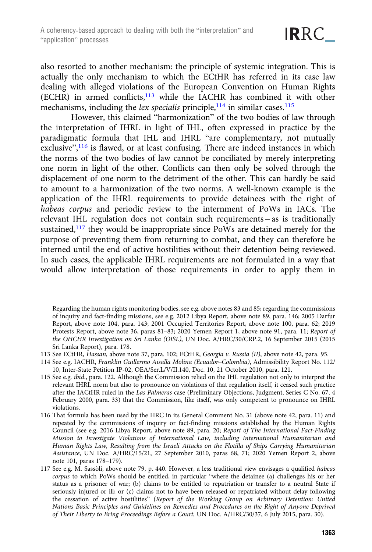also resorted to another mechanism: the principle of systemic integration. This is actually the only mechanism to which the ECtHR has referred in its case law dealing with alleged violations of the European Convention on Human Rights (ECHR) in armed conflicts,113 while the IACHR has combined it with other mechanisms, including the *lex specialis* principle,  $114$  in similar cases.  $115$ 

However, this claimed "harmonization" of the two bodies of law through the interpretation of IHRL in light of IHL, often expressed in practice by the paradigmatic formula that IHL and IHRL "are complementary, not mutually exclusive",<sup>116</sup> is flawed, or at least confusing. There are indeed instances in which the norms of the two bodies of law cannot be conciliated by merely interpreting one norm in light of the other. Conflicts can then only be solved through the displacement of one norm to the detriment of the other. This can hardly be said to amount to a harmonization of the two norms. A well-known example is the application of the IHRL requirements to provide detainees with the right of habeas corpus and periodic review to the internment of PoWs in IACs. The relevant IHL regulation does not contain such requirements – as is traditionally sustained,<sup>117</sup> they would be inappropriate since PoWs are detained merely for the purpose of preventing them from returning to combat, and they can therefore be interned until the end of active hostilities without their detention being reviewed. In such cases, the applicable IHRL requirements are not formulated in a way that would allow interpretation of those requirements in order to apply them in

Regarding the human rights monitoring bodies, see e.g. above notes 83 and 85; regarding the commissions of inquiry and fact-finding missions, see e.g. 2012 Libya Report, above note 89, para. 146; 2005 Darfur Report, above note 104, para. 143; 2001 Occupied Territories Report, above note 100, para. 62; 2019 Protests Report, above note 36, paras 81–83; 2020 Yemen Report 1, above note 91, para. 11; Report of the OHCHR Investigation on Sri Lanka (OISL), UN Doc. A/HRC/30/CRP.2, 16 September 2015 (2015 Sri Lanka Report), para. 178.

- 113 See ECtHR, Hassan, above note 37, para. 102; ECtHR, Georgia v. Russia (II), above note 42, para. 95.
- 114 See e.g. IACHR, Franklin Guillermo Aisalla Molina (Ecuador–Colombia), Admissibility Report No. 112/ 10, Inter-State Petition IP-02, OEA/Ser.L/V/II.140, Doc. 10, 21 October 2010, para. 121.
- 115 See e.g. ibid., para. 122. Although the Commission relied on the IHL regulation not only to interpret the relevant IHRL norm but also to pronounce on violations of that regulation itself, it ceased such practice after the IACtHR ruled in the Las Palmeras case (Preliminary Objections, Judgment, Series C No. 67, 4 February 2000, para. 33) that the Commission, like itself, was only competent to pronounce on IHRL violations.
- 116 That formula has been used by the HRC in its General Comment No. 31 (above note 42, para. 11) and repeated by the commissions of inquiry or fact-finding missions established by the Human Rights Council (see e.g. 2016 Libya Report, above note 89, para. 20; Report of The International Fact-Finding Mission to Investigate Violations of International Law, including International Humanitarian and Human Rights Law, Resulting from the Israeli Attacks on the Flotilla of Ships Carrying Humanitarian Assistance, UN Doc. A/HRC/15/21, 27 September 2010, paras 68, 71; 2020 Yemen Report 2, above note 101, paras 178–179).
- 117 See e.g. M. Sassòli, above note 79, p. 440. However, a less traditional view envisages a qualified habeas corpus to which PoWs should be entitled, in particular "where the detainee (a) challenges his or her status as a prisoner of war; (b) claims to be entitled to repatriation or transfer to a neutral State if seriously injured or ill; or (c) claims not to have been released or repatriated without delay following the cessation of active hostilities" (Report of the Working Group on Arbitrary Detention: United Nations Basic Principles and Guidelines on Remedies and Procedures on the Right of Anyone Deprived of Their Liberty to Bring Proceedings Before a Court, UN Doc. A/HRC/30/37, 6 July 2015, para. 30).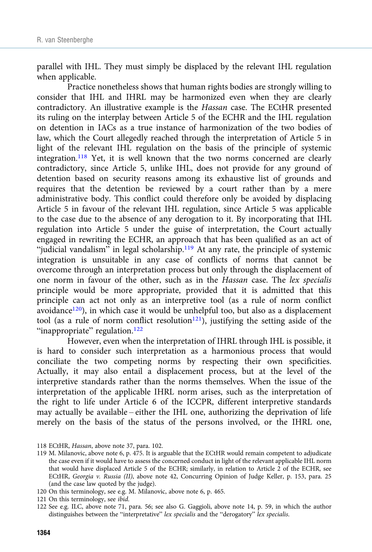parallel with IHL. They must simply be displaced by the relevant IHL regulation when applicable.

Practice nonetheless shows that human rights bodies are strongly willing to consider that IHL and IHRL may be harmonized even when they are clearly contradictory. An illustrative example is the Hassan case. The ECtHR presented its ruling on the interplay between Article 5 of the ECHR and the IHL regulation on detention in IACs as a true instance of harmonization of the two bodies of law, which the Court allegedly reached through the interpretation of Article 5 in light of the relevant IHL regulation on the basis of the principle of systemic integration.<sup>118</sup> Yet, it is well known that the two norms concerned are clearly contradictory, since Article 5, unlike IHL, does not provide for any ground of detention based on security reasons among its exhaustive list of grounds and requires that the detention be reviewed by a court rather than by a mere administrative body. This conflict could therefore only be avoided by displacing Article 5 in favour of the relevant IHL regulation, since Article 5 was applicable to the case due to the absence of any derogation to it. By incorporating that IHL regulation into Article 5 under the guise of interpretation, the Court actually engaged in rewriting the ECHR, an approach that has been qualified as an act of "judicial vandalism" in legal scholarship.<sup>119</sup> At any rate, the principle of systemic integration is unsuitable in any case of conflicts of norms that cannot be overcome through an interpretation process but only through the displacement of one norm in favour of the other, such as in the Hassan case. The lex specialis principle would be more appropriate, provided that it is admitted that this principle can act not only as an interpretive tool (as a rule of norm conflict avoidance<sup>120</sup>), in which case it would be unhelpful too, but also as a displacement tool (as a rule of norm conflict resolution<sup>121</sup>), justifying the setting aside of the "inappropriate" regulation.<sup>122</sup>

However, even when the interpretation of IHRL through IHL is possible, it is hard to consider such interpretation as a harmonious process that would conciliate the two competing norms by respecting their own specificities. Actually, it may also entail a displacement process, but at the level of the interpretive standards rather than the norms themselves. When the issue of the interpretation of the applicable IHRL norm arises, such as the interpretation of the right to life under Article 6 of the ICCPR, different interpretive standards may actually be available – either the IHL one, authorizing the deprivation of life merely on the basis of the status of the persons involved, or the IHRL one,

- 118 ECtHR, Hassan, above note 37, para. 102.
- 119 M. Milanovic, above note 6, p. 475. It is arguable that the ECtHR would remain competent to adjudicate the case even if it would have to assess the concerned conduct in light of the relevant applicable IHL norm that would have displaced Article 5 of the ECHR; similarly, in relation to Article 2 of the ECHR, see ECtHR, Georgia v. Russia (II), above note 42, Concurring Opinion of Judge Keller, p. 153, para. 25 (and the case law quoted by the judge).
- 120 On this terminology, see e.g. M. Milanovic, above note 6, p. 465.
- 121 On this terminology, see ibid.
- 122 See e.g. ILC, above note 71, para. 56; see also G. Gaggioli, above note 14, p. 59, in which the author distinguishes between the "interpretative" lex specialis and the "derogatory" lex specialis.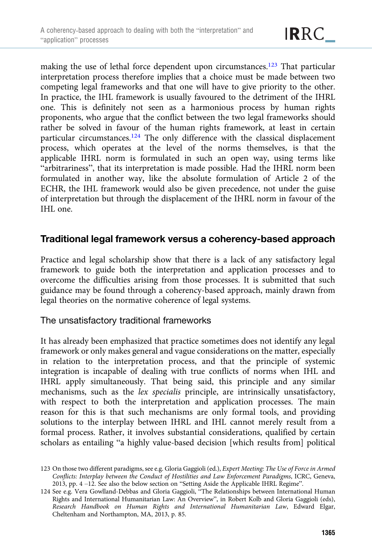making the use of lethal force dependent upon circumstances.<sup>123</sup> That particular interpretation process therefore implies that a choice must be made between two competing legal frameworks and that one will have to give priority to the other. In practice, the IHL framework is usually favoured to the detriment of the IHRL one. This is definitely not seen as a harmonious process by human rights proponents, who argue that the conflict between the two legal frameworks should rather be solved in favour of the human rights framework, at least in certain particular circumstances.<sup>124</sup> The only difference with the classical displacement process, which operates at the level of the norms themselves, is that the applicable IHRL norm is formulated in such an open way, using terms like "arbitrariness", that its interpretation is made possible. Had the IHRL norm been formulated in another way, like the absolute formulation of Article 2 of the ECHR, the IHL framework would also be given precedence, not under the guise of interpretation but through the displacement of the IHRL norm in favour of the IHL one.

## Traditional legal framework versus a coherency-based approach

Practice and legal scholarship show that there is a lack of any satisfactory legal framework to guide both the interpretation and application processes and to overcome the difficulties arising from those processes. It is submitted that such guidance may be found through a coherency-based approach, mainly drawn from legal theories on the normative coherence of legal systems.

#### The unsatisfactory traditional frameworks

It has already been emphasized that practice sometimes does not identify any legal framework or only makes general and vague considerations on the matter, especially in relation to the interpretation process, and that the principle of systemic integration is incapable of dealing with true conflicts of norms when IHL and IHRL apply simultaneously. That being said, this principle and any similar mechanisms, such as the lex specialis principle, are intrinsically unsatisfactory, with respect to both the interpretation and application processes. The main reason for this is that such mechanisms are only formal tools, and providing solutions to the interplay between IHRL and IHL cannot merely result from a formal process. Rather, it involves substantial considerations, qualified by certain scholars as entailing "a highly value-based decision [which results from] political

<sup>123</sup> On those two different paradigms, see e.g. Gloria Gaggioli (ed.), Expert Meeting: The Use of Force in Armed Conflicts: Interplay between the Conduct of Hostilities and Law Enforcement Paradigms, ICRC, Geneva, 2013, pp. 4 –12. See also the below section on "Setting Aside the Applicable IHRL Regime".

<sup>124</sup> See e.g. Vera Gowlland-Debbas and Gloria Gaggioli, "The Relationships between International Human Rights and International Humanitarian Law: An Overview", in Robert Kolb and Gloria Gaggioli (eds), Research Handbook on Human Rights and International Humanitarian Law, Edward Elgar, Cheltenham and Northampton, MA, 2013, p. 85.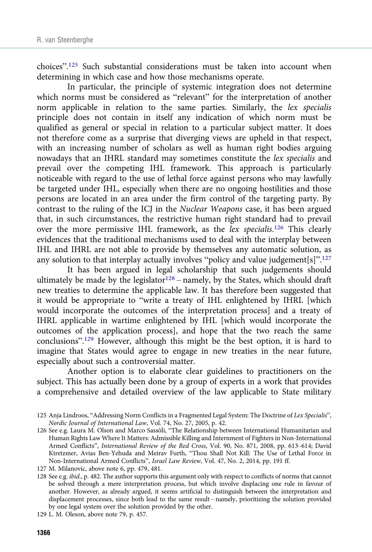choices". <sup>125</sup> Such substantial considerations must be taken into account when determining in which case and how those mechanisms operate.

In particular, the principle of systemic integration does not determine which norms must be considered as "relevant" for the interpretation of another norm applicable in relation to the same parties. Similarly, the lex specialis principle does not contain in itself any indication of which norm must be qualified as general or special in relation to a particular subject matter. It does not therefore come as a surprise that diverging views are upheld in that respect, with an increasing number of scholars as well as human right bodies arguing nowadays that an IHRL standard may sometimes constitute the lex specialis and prevail over the competing IHL framework. This approach is particularly noticeable with regard to the use of lethal force against persons who may lawfully be targeted under IHL, especially when there are no ongoing hostilities and those persons are located in an area under the firm control of the targeting party. By contrast to the ruling of the ICJ in the Nuclear Weapons case, it has been argued that, in such circumstances, the restrictive human right standard had to prevail over the more permissive IHL framework, as the lex specialis.<sup>126</sup> This clearly evidences that the traditional mechanisms used to deal with the interplay between IHL and IHRL are not able to provide by themselves any automatic solution, as any solution to that interplay actually involves "policy and value judgement[s]".<sup>127</sup>

It has been argued in legal scholarship that such judgements should ultimately be made by the legislator<sup>128</sup> – namely, by the States, which should draft new treaties to determine the applicable law. It has therefore been suggested that it would be appropriate to "write a treaty of IHL enlightened by IHRL [which would incorporate the outcomes of the interpretation process] and a treaty of IHRL applicable in wartime enlightened by IHL [which would incorporate the outcomes of the application process], and hope that the two reach the same conclusions". <sup>129</sup> However, although this might be the best option, it is hard to imagine that States would agree to engage in new treaties in the near future, especially about such a controversial matter.

Another option is to elaborate clear guidelines to practitioners on the subject. This has actually been done by a group of experts in a work that provides a comprehensive and detailed overview of the law applicable to State military

128 See e.g. *ibid.*, p. 482. The author supports this argument only with respect to conflicts of norms that cannot be solved through a mere interpretation process, but which involve displacing one rule in favour of another. However, as already argued, it seems artificial to distinguish between the interpretation and displacement processes, since both lead to the same result – namely, prioritizing the solution provided by one legal system over the solution provided by the other.

129 L. M. Oleson, above note 79, p. 457.

<sup>125</sup> Anja Lindroos, "Addressing Norm Conflicts in a Fragmented Legal System: The Doctrine of Lex Specialis", Nordic Journal of International Law, Vol. 74, No. 27, 2005, p. 42.

<sup>126</sup> See e.g. Laura M. Olson and Marco Sassòli, "The Relationship between International Humanitarian and Human Rights Law Where It Matters: Admissible Killing and Internment of Fighters in Non-International Armed Conflicts", International Review of the Red Cross, Vol. 90, No. 871, 2008, pp. 613–614; David Ktretzmer, Avias Ben-Yehuda and Meirav Furth, "Thou Shall Not Kill: The Use of Lethal Force in Non-International Armed Conflicts", Israel Law Review, Vol. 47, No. 2, 2014, pp. 191 ff.

<sup>127</sup> M. Milanovic, above note 6, pp. 479, 481.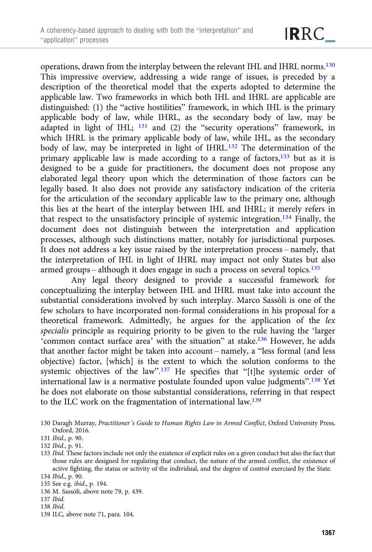operations, drawn from the interplay between the relevant IHL and IHRL norms.130 This impressive overview, addressing a wide range of issues, is preceded by a description of the theoretical model that the experts adopted to determine the applicable law. Two frameworks in which both IHL and IHRL are applicable are distinguished: (1) the "active hostilities" framework, in which IHL is the primary applicable body of law, while IHRL, as the secondary body of law, may be adapted in light of IHL; <sup>131</sup> and (2) the "security operations" framework, in which IHRL is the primary applicable body of law, while IHL, as the secondary body of law, may be interpreted in light of IHRL.<sup>132</sup> The determination of the primary applicable law is made according to a range of factors,<sup>133</sup> but as it is designed to be a guide for practitioners, the document does not propose any elaborated legal theory upon which the determination of those factors can be legally based. It also does not provide any satisfactory indication of the criteria for the articulation of the secondary applicable law to the primary one, although this lies at the heart of the interplay between IHL and IHRL; it merely refers in that respect to the unsatisfactory principle of systemic integration.134 Finally, the document does not distinguish between the interpretation and application processes, although such distinctions matter, notably for jurisdictional purposes. It does not address a key issue raised by the interpretation process – namely, that the interpretation of IHL in light of IHRL may impact not only States but also armed groups – although it does engage in such a process on several topics.135

Any legal theory designed to provide a successful framework for conceptualizing the interplay between IHL and IHRL must take into account the substantial considerations involved by such interplay. Marco Sassòli is one of the few scholars to have incorporated non-formal considerations in his proposal for a theoretical framework. Admittedly, he argues for the application of the lex specialis principle as requiring priority to be given to the rule having the 'larger 'common contact surface area' with the situation" at stake.136 However, he adds that another factor might be taken into account – namely, a "less formal (and less objective) factor, [which] is the extent to which the solution conforms to the systemic objectives of the law".<sup>137</sup> He specifies that "[t]he systemic order of international law is a normative postulate founded upon value judgments".<sup>138</sup> Yet he does not elaborate on those substantial considerations, referring in that respect to the ILC work on the fragmentation of international law.139

- 135 See e.g. ibid., p. 194.
- 136 M. Sassòli, above note 79, p. 439.
- 137 Ibid.
- 138 Ibid.
- 139 ILC, above note 71, para. 104.

<sup>130</sup> Daragh Murray, Practitioner's Guide to Human Rights Law in Armed Conflict, Oxford University Press, Oxford, 2016.

<sup>131</sup> Ibid., p. 90.

<sup>132</sup> Ibid., p. 91.

<sup>133</sup> Ibid. These factors include not only the existence of explicit rules on a given conduct but also the fact that those rules are designed for regulating that conduct, the nature of the armed conflict, the existence of active fighting, the status or activity of the individual, and the degree of control exercised by the State. 134 Ibid., p. 90.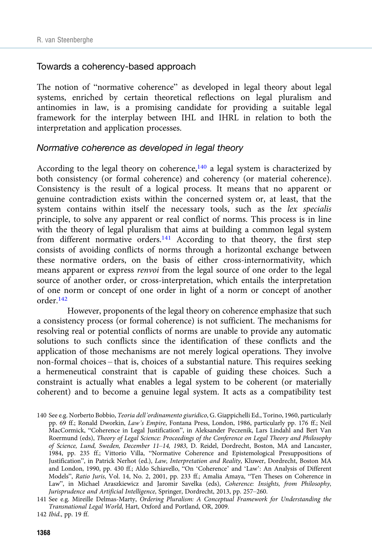#### Towards a coherency-based approach

The notion of "normative coherence" as developed in legal theory about legal systems, enriched by certain theoretical reflections on legal pluralism and antinomies in law, is a promising candidate for providing a suitable legal framework for the interplay between IHL and IHRL in relation to both the interpretation and application processes.

#### Normative coherence as developed in legal theory

According to the legal theory on coherence, $140$  a legal system is characterized by both consistency (or formal coherence) and coherency (or material coherence). Consistency is the result of a logical process. It means that no apparent or genuine contradiction exists within the concerned system or, at least, that the system contains within itself the necessary tools, such as the lex specialis principle, to solve any apparent or real conflict of norms. This process is in line with the theory of legal pluralism that aims at building a common legal system from different normative orders.<sup>141</sup> According to that theory, the first step consists of avoiding conflicts of norms through a horizontal exchange between these normative orders, on the basis of either cross-internormativity, which means apparent or express renvoi from the legal source of one order to the legal source of another order, or cross-interpretation, which entails the interpretation of one norm or concept of one order in light of a norm or concept of another order.142

However, proponents of the legal theory on coherence emphasize that such a consistency process (or formal coherence) is not sufficient. The mechanisms for resolving real or potential conflicts of norms are unable to provide any automatic solutions to such conflicts since the identification of these conflicts and the application of those mechanisms are not merely logical operations. They involve non-formal choices – that is, choices of a substantial nature. This requires seeking a hermeneutical constraint that is capable of guiding these choices. Such a constraint is actually what enables a legal system to be coherent (or materially coherent) and to become a genuine legal system. It acts as a compatibility test

<sup>140</sup> See e.g. Norberto Bobbio, Teoria dell'ordinamento giuridico, G. Giappichelli Ed., Torino, 1960, particularly pp. 69 ff.; Ronald Dworkin, Law's Empire, Fontana Press, London, 1986, particularly pp. 176 ff.; Neil MacCormick, "Coherence in Legal Justification", in Aleksander Peczenik, Lars Lindahl and Bert Van Roermund (eds), Theory of Legal Science: Proceedings of the Conference on Legal Theory and Philosophy of Science, Lund, Sweden, December 11–14, 1983, D. Reidel, Dordrecht, Boston, MA and Lancaster, 1984, pp. 235 ff.; Vittorio Villa, "Normative Coherence and Epistemological Presuppositions of Justification", in Patrick Nerhot (ed.), Law, Interpretation and Reality, Kluwer, Dordrecht, Boston MA and London, 1990, pp. 430 ff.; Aldo Schiavello, "On 'Coherence' and 'Law': An Analysis of Different Models", Ratio Juris, Vol. 14, No. 2, 2001, pp. 233 ff.; Amalia Amaya, "Ten Theses on Coherence in Law", in Michael Araszkiewicz and Jaromir Savelka (eds), Coherence: Insights, from Philosophy, Jurisprudence and Artificial Intelligence, Springer, Dordrecht, 2013, pp. 257–260.

<sup>141</sup> See e.g. Mireille Delmas-Marty, Ordering Pluralism: A Conceptual Framework for Understanding the Transnational Legal World, Hart, Oxford and Portland, OR, 2009.

<sup>142</sup> Ibid., pp. 19 ff.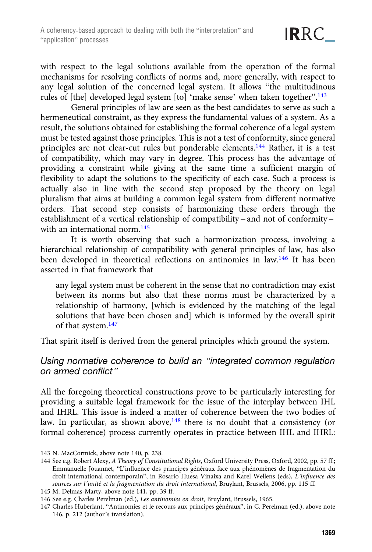with respect to the legal solutions available from the operation of the formal mechanisms for resolving conflicts of norms and, more generally, with respect to any legal solution of the concerned legal system. It allows "the multitudinous rules of [the] developed legal system [to] 'make sense' when taken together".<sup>143</sup>

General principles of law are seen as the best candidates to serve as such a hermeneutical constraint, as they express the fundamental values of a system. As a result, the solutions obtained for establishing the formal coherence of a legal system must be tested against those principles. This is not a test of conformity, since general principles are not clear-cut rules but ponderable elements.<sup>144</sup> Rather, it is a test of compatibility, which may vary in degree. This process has the advantage of providing a constraint while giving at the same time a sufficient margin of flexibility to adapt the solutions to the specificity of each case. Such a process is actually also in line with the second step proposed by the theory on legal pluralism that aims at building a common legal system from different normative orders. That second step consists of harmonizing these orders through the establishment of a vertical relationship of compatibility – and not of conformity – with an international norm.<sup>145</sup>

It is worth observing that such a harmonization process, involving a hierarchical relationship of compatibility with general principles of law, has also been developed in theoretical reflections on antinomies in law.146 It has been asserted in that framework that

any legal system must be coherent in the sense that no contradiction may exist between its norms but also that these norms must be characterized by a relationship of harmony, [which is evidenced by the matching of the legal solutions that have been chosen and] which is informed by the overall spirit of that system.147

That spirit itself is derived from the general principles which ground the system.

## Using normative coherence to build an "integrated common regulation on armed conflict"

All the foregoing theoretical constructions prove to be particularly interesting for providing a suitable legal framework for the issue of the interplay between IHL and IHRL. This issue is indeed a matter of coherence between the two bodies of law. In particular, as shown above,<sup>148</sup> there is no doubt that a consistency (or formal coherence) process currently operates in practice between IHL and IHRL:

<sup>143</sup> N. MacCormick, above note 140, p. 238.

<sup>144</sup> See e.g. Robert Alexy, A Theory of Constitutional Rights, Oxford University Press, Oxford, 2002, pp. 57 ff.; Emmanuelle Jouannet, "L'influence des principes généraux face aux phénomènes de fragmentation du droit international contemporain", in Rosario Huesa Vinaixa and Karel Wellens (eds), L'influence des sources sur l'unité et la fragmentation du droit international, Bruylant, Brussels, 2006, pp. 115 ff.

<sup>145</sup> M. Delmas-Marty, above note 141, pp. 39 ff.

<sup>146</sup> See e.g. Charles Perelman (ed.), Les antinomies en droit, Bruylant, Brussels, 1965.

<sup>147</sup> Charles Huberlant, "Antinomies et le recours aux principes généraux", in C. Perelman (ed.), above note 146, p. 212 (author's translation).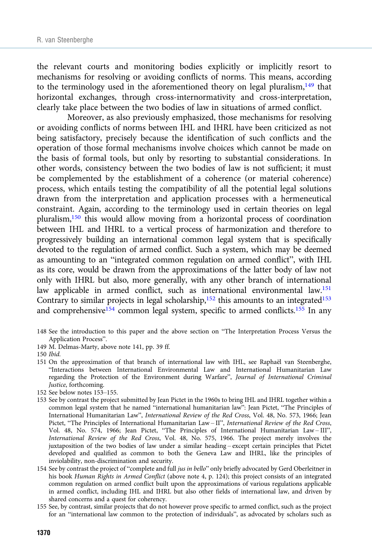<span id="page-25-0"></span>the relevant courts and monitoring bodies explicitly or implicitly resort to mechanisms for resolving or avoiding conflicts of norms. This means, according to the terminology used in the aforementioned theory on legal pluralism, $149$  that horizontal exchanges, through cross-internormativity and cross-interpretation, clearly take place between the two bodies of law in situations of armed conflict.

Moreover, as also previously emphasized, those mechanisms for resolving or avoiding conflicts of norms between IHL and IHRL have been criticized as not being satisfactory, precisely because the identification of such conflicts and the operation of those formal mechanisms involve choices which cannot be made on the basis of formal tools, but only by resorting to substantial considerations. In other words, consistency between the two bodies of law is not sufficient; it must be complemented by the establishment of a coherence (or material coherence) process, which entails testing the compatibility of all the potential legal solutions drawn from the interpretation and application processes with a hermeneutical constraint. Again, according to the terminology used in certain theories on legal pluralism,150 this would allow moving from a horizontal process of coordination between IHL and IHRL to a vertical process of harmonization and therefore to progressively building an international common legal system that is specifically devoted to the regulation of armed conflict. Such a system, which may be deemed as amounting to an "integrated common regulation on armed conflict", with IHL as its core, would be drawn from the approximations of the latter body of law not only with IHRL but also, more generally, with any other branch of international law applicable in armed conflict, such as international environmental law.<sup>151</sup> Contrary to similar projects in legal scholarship, $152$  this amounts to an integrated $153$ and comprehensive<sup>154</sup> common legal system, specific to armed conflicts.<sup>155</sup> In any

- 148 See the introduction to this paper and the above section on "The Interpretation Process Versus the Application Process".
- 149 M. Delmas-Marty, above note 141, pp. 39 ff.

- 151 On the approximation of that branch of international law with IHL, see Raphaël van Steenberghe, "Interactions between International Environmental Law and International Humanitarian Law regarding the Protection of the Environment during Warfare", Journal of International Criminal Justice, forthcoming.
- 152 See below notes 153–155.
- 153 See by contrast the project submitted by Jean Pictet in the 1960s to bring IHL and IHRL together within a common legal system that he named "international humanitarian law": Jean Pictet, "The Principles of International Humanitarian Law", International Review of the Red Cross, Vol. 48, No. 573, 1966; Jean Pictet, "The Principles of International Humanitarian Law - II", International Review of the Red Cross, Vol. 48, No. 574, 1966; Jean Pictet, "The Principles of International Humanitarian Law – III", International Review of the Red Cross, Vol. 48, No. 575, 1966. The project merely involves the juxtaposition of the two bodies of law under a similar heading – except certain principles that Pictet developed and qualified as common to both the Geneva Law and IHRL, like the principles of inviolability, non-discrimination and security.
- 154 See by contrast the project of "complete and full jus in bello" only briefly advocated by Gerd Oberleitner in his book Human Rights in Armed Conflict (above note 4, p. 124); this project consists of an integrated common regulation on armed conflict built upon the approximations of various regulations applicable in armed conflict, including IHL and IHRL but also other fields of international law, and driven by shared concerns and a quest for coherency.
- 155 See, by contrast, similar projects that do not however prove specific to armed conflict, such as the project for an "international law common to the protection of individuals", as advocated by scholars such as

<sup>150</sup> Ibid.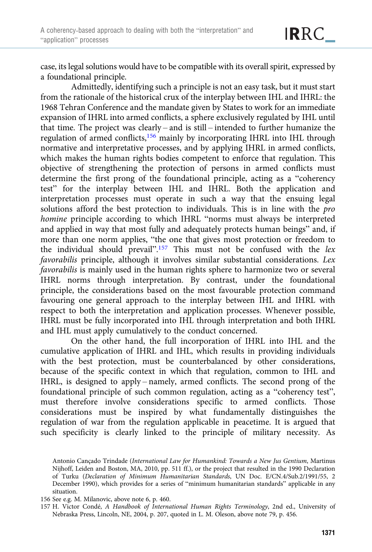case, its legal solutions would have to be compatible with its overall spirit, expressed by a foundational principle.

Admittedly, identifying such a principle is not an easy task, but it must start from the rationale of the historical crux of the interplay between IHL and IHRL: the 1968 Tehran Conference and the mandate given by States to work for an immediate expansion of IHRL into armed conflicts, a sphere exclusively regulated by IHL until that time. The project was clearly – and is still – intended to further humanize the regulation of armed conflicts,<sup>156</sup> mainly by incorporating IHRL into IHL through normative and interpretative processes, and by applying IHRL in armed conflicts, which makes the human rights bodies competent to enforce that regulation. This objective of strengthening the protection of persons in armed conflicts must determine the first prong of the foundational principle, acting as a "coherency test" for the interplay between IHL and IHRL. Both the application and interpretation processes must operate in such a way that the ensuing legal solutions afford the best protection to individuals. This is in line with the pro homine principle according to which IHRL "norms must always be interpreted and applied in way that most fully and adequately protects human beings" and, if more than one norm applies, "the one that gives most protection or freedom to the individual should prevail".<sup>157</sup> This must not be confused with the lex favorabilis principle, although it involves similar substantial considerations. Lex favorabilis is mainly used in the human rights sphere to harmonize two or several IHRL norms through interpretation. By contrast, under the foundational principle, the considerations based on the most favourable protection command favouring one general approach to the interplay between IHL and IHRL with respect to both the interpretation and application processes. Whenever possible, IHRL must be fully incorporated into IHL through interpretation and both IHRL and IHL must apply cumulatively to the conduct concerned.

On the other hand, the full incorporation of IHRL into IHL and the cumulative application of IHRL and IHL, which results in providing individuals with the best protection, must be counterbalanced by other considerations, because of the specific context in which that regulation, common to IHL and IHRL, is designed to apply – namely, armed conflicts. The second prong of the foundational principle of such common regulation, acting as a "coherency test", must therefore involve considerations specific to armed conflicts. Those considerations must be inspired by what fundamentally distinguishes the regulation of war from the regulation applicable in peacetime. It is argued that such specificity is clearly linked to the principle of military necessity. As

Antonio Cançado Trindade (International Law for Humankind: Towards a New Jus Gentium, Martinus Nijhoff, Leiden and Boston, MA, 2010, pp. 511 ff.), or the project that resulted in the 1990 Declaration of Turku (Declaration of Minimum Humanitarian Standards, UN Doc. E/CN.4/Sub.2/1991/55, 2 December 1990), which provides for a series of "minimum humanitarian standards" applicable in any situation.

<sup>156</sup> See e.g. M. Milanovic, above note 6, p. 460.

<sup>157</sup> H. Victor Condé, A Handbook of International Human Rights Terminology, 2nd ed., University of Nebraska Press, Lincoln, NE, 2004, p. 207, quoted in L. M. Oleson, above note 79, p. 456.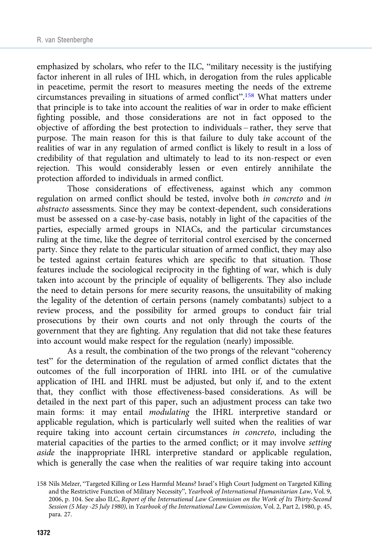emphasized by scholars, who refer to the ILC, "military necessity is the justifying factor inherent in all rules of IHL which, in derogation from the rules applicable in peacetime, permit the resort to measures meeting the needs of the extreme circumstances prevailing in situations of armed conflict". <sup>158</sup> What matters under that principle is to take into account the realities of war in order to make efficient fighting possible, and those considerations are not in fact opposed to the objective of affording the best protection to individuals – rather, they serve that purpose. The main reason for this is that failure to duly take account of the realities of war in any regulation of armed conflict is likely to result in a loss of credibility of that regulation and ultimately to lead to its non-respect or even rejection. This would considerably lessen or even entirely annihilate the protection afforded to individuals in armed conflict.

Those considerations of effectiveness, against which any common regulation on armed conflict should be tested, involve both in concreto and in abstracto assessments. Since they may be context-dependent, such considerations must be assessed on a case-by-case basis, notably in light of the capacities of the parties, especially armed groups in NIACs, and the particular circumstances ruling at the time, like the degree of territorial control exercised by the concerned party. Since they relate to the particular situation of armed conflict, they may also be tested against certain features which are specific to that situation. Those features include the sociological reciprocity in the fighting of war, which is duly taken into account by the principle of equality of belligerents. They also include the need to detain persons for mere security reasons, the unsuitability of making the legality of the detention of certain persons (namely combatants) subject to a review process, and the possibility for armed groups to conduct fair trial prosecutions by their own courts and not only through the courts of the government that they are fighting. Any regulation that did not take these features into account would make respect for the regulation (nearly) impossible.

As a result, the combination of the two prongs of the relevant "coherency test" for the determination of the regulation of armed conflict dictates that the outcomes of the full incorporation of IHRL into IHL or of the cumulative application of IHL and IHRL must be adjusted, but only if, and to the extent that, they conflict with those effectiveness-based considerations. As will be detailed in the next part of this paper, such an adjustment process can take two main forms: it may entail modulating the IHRL interpretive standard or applicable regulation, which is particularly well suited when the realities of war require taking into account certain circumstances in concreto, including the material capacities of the parties to the armed conflict; or it may involve setting aside the inappropriate IHRL interpretive standard or applicable regulation, which is generally the case when the realities of war require taking into account

<sup>158</sup> Nils Melzer, "Targeted Killing or Less Harmful Means? Israel's High Court Judgment on Targeted Killing and the Restrictive Function of Military Necessity", Yearbook of International Humanitarian Law, Vol. 9, 2006, p. 104. See also ILC, Report of the International Law Commission on the Work of Its Thirty-Second Session (5 May -25 July 1980), in Yearbook of the International Law Commission, Vol. 2, Part 2, 1980, p. 45, para. 27.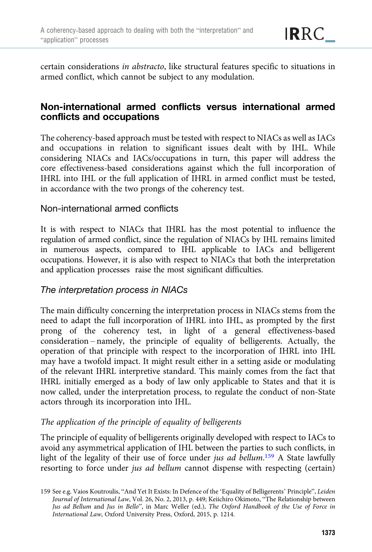certain considerations in abstracto, like structural features specific to situations in armed conflict, which cannot be subject to any modulation.

# Non-international armed conflicts versus international armed conflicts and occupations

The coherency-based approach must be tested with respect to NIACs as well as IACs and occupations in relation to significant issues dealt with by IHL. While considering NIACs and IACs/occupations in turn, this paper will address the core effectiveness-based considerations against which the full incorporation of IHRL into IHL or the full application of IHRL in armed conflict must be tested, in accordance with the two prongs of the coherency test.

## Non-international armed conflicts

It is with respect to NIACs that IHRL has the most potential to influence the regulation of armed conflict, since the regulation of NIACs by IHL remains limited in numerous aspects, compared to IHL applicable to IACs and belligerent occupations. However, it is also with respect to NIACs that both the interpretation and application processes raise the most significant difficulties.

## The interpretation process in NIACs

The main difficulty concerning the interpretation process in NIACs stems from the need to adapt the full incorporation of IHRL into IHL, as prompted by the first prong of the coherency test, in light of a general effectiveness-based consideration – namely, the principle of equality of belligerents. Actually, the operation of that principle with respect to the incorporation of IHRL into IHL may have a twofold impact. It might result either in a setting aside or modulating of the relevant IHRL interpretive standard. This mainly comes from the fact that IHRL initially emerged as a body of law only applicable to States and that it is now called, under the interpretation process, to regulate the conduct of non-State actors through its incorporation into IHL.

## The application of the principle of equality of belligerents

The principle of equality of belligerents originally developed with respect to IACs to avoid any asymmetrical application of IHL between the parties to such conflicts, in light of the legality of their use of force under *jus ad bellum*.<sup>159</sup> A State lawfully resorting to force under *jus ad bellum* cannot dispense with respecting (certain)

<sup>159</sup> See e.g. Vaios Koutroulis, "And Yet It Exists: In Defence of the 'Equality of Belligerents' Principle", Leiden Journal of International Law, Vol. 26, No. 2, 2013, p. 449; Keiichiro Okimoto, "The Relationship between Jus ad Bellum and Jus in Bello", in Marc Weller (ed.), The Oxford Handbook of the Use of Force in International Law, Oxford University Press, Oxford, 2015, p. 1214.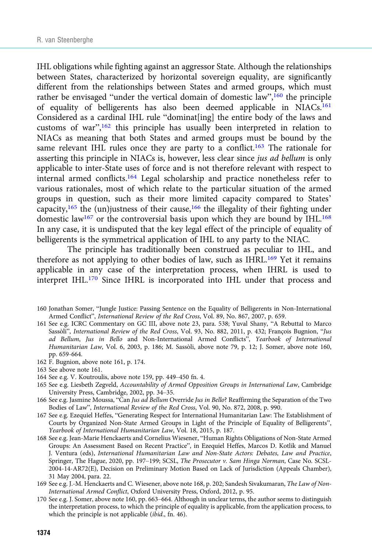IHL obligations while fighting against an aggressor State. Although the relationships between States, characterized by horizontal sovereign equality, are significantly different from the relationships between States and armed groups, which must rather be envisaged "under the vertical domain of domestic law",<sup>160</sup> the principle of equality of belligerents has also been deemed applicable in NIACs.<sup>161</sup> Considered as a cardinal IHL rule "dominat[ing] the entire body of the laws and customs of war",<sup>162</sup> this principle has usually been interpreted in relation to NIACs as meaning that both States and armed groups must be bound by the same relevant IHL rules once they are party to a conflict.<sup>163</sup> The rationale for asserting this principle in NIACs is, however, less clear since jus ad bellum is only applicable to inter-State uses of force and is not therefore relevant with respect to internal armed conflicts.164 Legal scholarship and practice nonetheless refer to various rationales, most of which relate to the particular situation of the armed groups in question, such as their more limited capacity compared to States' capacity,<sup>165</sup> the (un)justness of their cause,<sup>166</sup> the illegality of their fighting under domestic law<sup>167</sup> or the controversial basis upon which they are bound by IHL.<sup>168</sup> In any case, it is undisputed that the key legal effect of the principle of equality of belligerents is the symmetrical application of IHL to any party to the NIAC.

The principle has traditionally been construed as peculiar to IHL, and therefore as not applying to other bodies of law, such as IHRL.169 Yet it remains applicable in any case of the interpretation process, when IHRL is used to interpret IHL.170 Since IHRL is incorporated into IHL under that process and

- 160 Jonathan Somer, "Jungle Justice: Passing Sentence on the Equality of Belligerents in Non-International Armed Conflict", International Review of the Red Cross, Vol. 89, No. 867, 2007, p. 659.
- 161 See e.g. ICRC Commentary on GC III, above note 23, para. 538; Yuval Shany, "A Rebuttal to Marco Sassòli", International Review of the Red Cross, Vol. 93, No. 882, 2011, p. 432; François Bugnion, "Jus ad Bellum, Jus in Bello and Non-International Armed Conflicts", Yearbook of International Humanitarian Law, Vol. 6, 2003, p. 186; M. Sassòli, above note 79, p. 12; J. Somer, above note 160, pp. 659-664.
- 162 F. Bugnion, above note 161, p. 174.
- 163 See above note 161.
- 164 See e.g. V. Koutroulis, above note 159, pp. 449–450 fn. 4.
- 165 See e.g. Liesbeth Zegveld, Accountability of Armed Opposition Groups in International Law, Cambridge University Press, Cambridge, 2002, pp. 34–35.
- 166 See e.g. Jasmine Moussa, "Can Jus ad Bellum Override Jus in Bello? Reaffirming the Separation of the Two Bodies of Law", International Review of the Red Cross, Vol. 90, No. 872, 2008, p. 990.
- 167 See e.g. Ezequiel Heffes, "Generating Respect for International Humanitarian Law: The Establishment of Courts by Organized Non-State Armed Groups in Light of the Principle of Equality of Belligerents", Yearbook of International Humanitarian Law, Vol. 18, 2015, p. 187.
- 168 See e.g. Jean-Marie Henckaerts and Cornelius Wiesener, "Human Rights Obligations of Non-State Armed Groups: An Assessment Based on Recent Practice", in Ezequiel Heffes, Marcos D. Kotlik and Manuel J. Ventura (eds), International Humanitarian Law and Non-State Actors: Debates, Law and Practice, Springer, The Hague, 2020, pp. 197–199; SCSL, The Prosecutor v. Sam Hinga Norman, Case No. SCSL-2004-14-AR72(E), Decision on Preliminary Motion Based on Lack of Jurisdiction (Appeals Chamber), 31 May 2004, para. 22.
- 169 See e.g. J.-M. Henckaerts and C. Wiesener, above note 168, p. 202; Sandesh Sivakumaran, The Law of Non-International Armed Conflict, Oxford University Press, Oxford, 2012, p. 95.
- 170 See e.g. J. Somer, above note 160, pp. 663–664. Although in unclear terms, the author seems to distinguish the interpretation process, to which the principle of equality is applicable, from the application process, to which the principle is not applicable (ibid., fn. 46).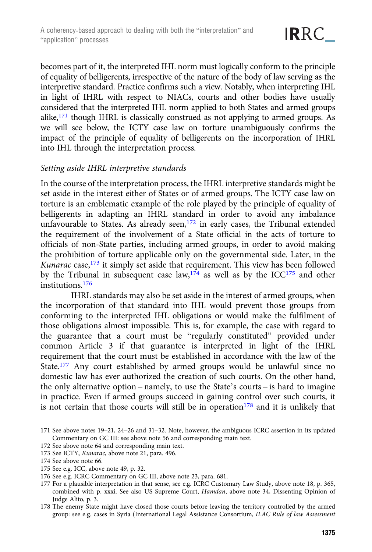becomes part of it, the interpreted IHL norm must logically conform to the principle of equality of belligerents, irrespective of the nature of the body of law serving as the interpretive standard. Practice confirms such a view. Notably, when interpreting IHL in light of IHRL with respect to NIACs, courts and other bodies have usually considered that the interpreted IHL norm applied to both States and armed groups alike,171 though IHRL is classically construed as not applying to armed groups. As we will see below, the ICTY case law on torture unambiguously confirms the impact of the principle of equality of belligerents on the incorporation of IHRL into IHL through the interpretation process.

#### Setting aside IHRL interpretive standards

In the course of the interpretation process, the IHRL interpretive standards might be set aside in the interest either of States or of armed groups. The ICTY case law on torture is an emblematic example of the role played by the principle of equality of belligerents in adapting an IHRL standard in order to avoid any imbalance unfavourable to States. As already seen,<sup>172</sup> in early cases, the Tribunal extended the requirement of the involvement of a State official in the acts of torture to officials of non-State parties, including armed groups, in order to avoid making the prohibition of torture applicable only on the governmental side. Later, in the Kunarac case, $173$  it simply set aside that requirement. This view has been followed by the Tribunal in subsequent case  $law$ ,  $l^{174}$  as well as by the ICC<sup>175</sup> and other institutions.<sup>176</sup>

IHRL standards may also be set aside in the interest of armed groups, when the incorporation of that standard into IHL would prevent those groups from conforming to the interpreted IHL obligations or would make the fulfilment of those obligations almost impossible. This is, for example, the case with regard to the guarantee that a court must be "regularly constituted" provided under common Article 3 if that guarantee is interpreted in light of the IHRL requirement that the court must be established in accordance with the law of the State.<sup>177</sup> Any court established by armed groups would be unlawful since no domestic law has ever authorized the creation of such courts. On the other hand, the only alternative option – namely, to use the State's courts – is hard to imagine in practice. Even if armed groups succeed in gaining control over such courts, it is not certain that those courts will still be in operation $178$  and it is unlikely that

172 See above note 64 and corresponding main text.

- 174 See above note 66.
- 175 See e.g. ICC, above note 49, p. 32.
- 176 See e.g. ICRC Commentary on GC III, above note 23, para. 681.
- 177 For a plausible interpretation in that sense, see e.g. ICRC Customary Law Study, above note 18, p. 365, combined with p. xxxi. See also US Supreme Court, Hamdan, above note 34, Dissenting Opinion of Judge Alito, p. 3.
- 178 The enemy State might have closed those courts before leaving the territory controlled by the armed group: see e.g. cases in Syria (International Legal Assistance Consortium, ILAC Rule of law Assessment

<sup>171</sup> See above notes 19–21, 24–26 and 31–32. Note, however, the ambiguous ICRC assertion in its updated Commentary on GC III: see above note 56 and corresponding main text.

<sup>173</sup> See ICTY, Kunarac, above note 21, para. 496.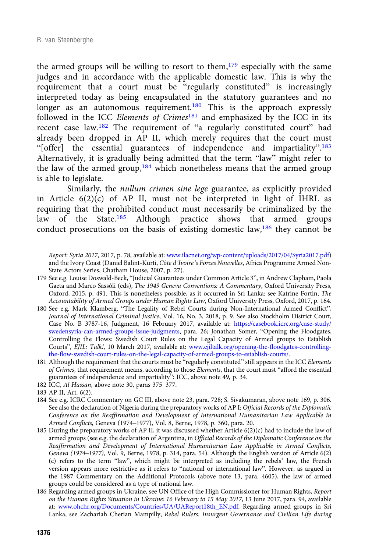the armed groups will be willing to resort to them, $179$  especially with the same judges and in accordance with the applicable domestic law. This is why the requirement that a court must be "regularly constituted" is increasingly interpreted today as being encapsulated in the statutory guarantees and no longer as an autonomous requirement.<sup>180</sup> This is the approach expressly followed in the ICC Elements of Crimes<sup>181</sup> and emphasized by the ICC in its recent case law.<sup>182</sup> The requirement of "a regularly constituted court" had already been dropped in AP II, which merely requires that the court must "[offer] the essential guarantees of independence and impartiality". 183 Alternatively, it is gradually being admitted that the term "law" might refer to the law of the armed group,<sup>184</sup> which nonetheless means that the armed group is able to legislate.

Similarly, the nullum crimen sine lege guarantee, as explicitly provided in Article  $6(2)(c)$  of AP II, must not be interpreted in light of IHRL as requiring that the prohibited conduct must necessarily be criminalized by the law of the State.<sup>185</sup> Although practice shows that armed groups conduct prosecutions on the basis of existing domestic law,<sup>186</sup> they cannot be

Report: Syria 2017, 2017, p. 78, available at: [www.ilacnet.org/wp-content/uploads/2017/04/Syria2017.pdf\)](https://www.ilacnet.org/wp-content/uploads/2017/04/Syria2017.pdf) and the Ivory Coast (Daniel Balint-Kurti, Côte d'Ivoire's Forces Nouvelles, Africa Programme Armed Non-State Actors Series, Chatham House, 2007, p. 27).

- 179 See e.g. Louise Doswald-Beck, "Judicial Guarantees under Common Article 3", in Andrew Clapham, Paola Gaeta and Marco Sassòli (eds), The 1949 Geneva Conventions: A Commentary, Oxford University Press, Oxford, 2015, p. 491. This is nonetheless possible, as it occurred in Sri Lanka: see Katrine Fortin, The Accountability of Armed Groups under Human Rights Law, Oxford University Press, Oxford, 2017, p. 164.
- 180 See e.g. Mark Klamberg, "The Legality of Rebel Courts during Non-International Armed Conflict", Journal of International Criminal Justice, Vol. 16, No. 3, 2018, p. 9. See also Stockholm District Court, Case No. B 3787-16, Judgment, 16 February 2017, available at: [https://casebook.icrc.org/case-study/](https://casebook.icrc.org/case-study/swedensyria-can-armed-groups-issue-judgments) [swedensyria-can-armed-groups-issue-judgments](https://casebook.icrc.org/case-study/swedensyria-can-armed-groups-issue-judgments), para. 26; Jonathan Somer, "Opening the Floodgates, Controlling the Flows: Swedish Court Rules on the Legal Capacity of Armed groups to Establish Courts", EJIL: Talk!, 10 March 2017, available at: [www.ejiltalk.org/opening-the-floodgates-controlling](https://www.ejiltalk.org/opening-the-floodgates-controlling-the-flow-swedish-court-rules-on-the-legal-capacity-of-armed-groups-to-establish-courts/)[the-flow-swedish-court-rules-on-the-legal-capacity-of-armed-groups-to-establish-courts/.](https://www.ejiltalk.org/opening-the-floodgates-controlling-the-flow-swedish-court-rules-on-the-legal-capacity-of-armed-groups-to-establish-courts/)
- 181 Although the requirement that the courts must be "regularly constituted" still appears in the ICC Elements of Crimes, that requirement means, according to those Elements, that the court must "afford the essential guarantees of independence and impartiality": ICC, above note 49, p. 34.
- 182 ICC, Al Hassan, above note 30, paras 375–377.
- 183 AP II, Art. 6(2).
- 184 See e.g. ICRC Commentary on GC III, above note 23, para. 728; S. Sivakumaran, above note 169, p. 306. See also the declaration of Nigeria during the preparatory works of AP I: Official Records of the Diplomatic Conference on the Reaffirmation and Development of International Humanitarian Law Applicable in Armed Conflicts, Geneva (1974–1977), Vol. 8, Berne, 1978, p. 360, para. 20.
- 185 During the preparatory works of AP II, it was discussed whether Article 6(2)(c) had to include the law of armed groups (see e.g. the declaration of Argentina, in Official Records of the Diplomatic Conference on the Reaffirmation and Development of International Humanitarian Law Applicable in Armed Conflicts, Geneva (1974–1977), Vol. 9, Berne, 1978, p. 314, para. 54). Although the English version of Article 6(2) (c) refers to the term "law", which might be interpreted as including the rebels' law, the French version appears more restrictive as it refers to "national or international law". However, as argued in the 1987 Commentary on the Additional Protocols (above note 13, para. 4605), the law of armed groups could be considered as a type of national law.
- 186 Regarding armed groups in Ukraine, see UN Office of the High Commissioner for Human Rights, Report on the Human Rights Situation in Ukraine: 16 February to 15 May 2017, 13 June 2017, para. 94, available at: [www.ohchr.org/Documents/Countries/UA/UAReport18th\\_EN.pdf](https://www.ohchr.org/Documents/Countries/UA/UAReport18th_EN.pdf). Regarding armed groups in Sri Lanka, see Zachariah Cherian Mampilly, Rebel Rulers: Insurgent Governance and Civilian Life during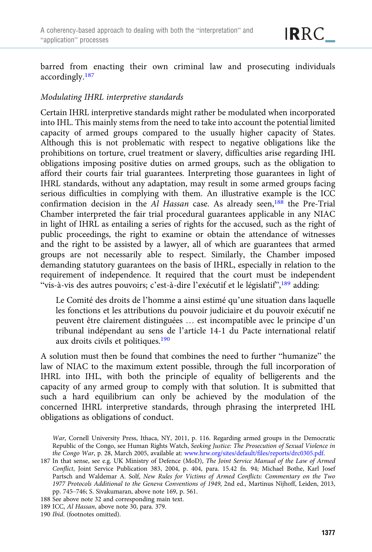barred from enacting their own criminal law and prosecuting individuals accordingly.<sup>187</sup>

#### Modulating IHRL interpretive standards

Certain IHRL interpretive standards might rather be modulated when incorporated into IHL. This mainly stems from the need to take into account the potential limited capacity of armed groups compared to the usually higher capacity of States. Although this is not problematic with respect to negative obligations like the prohibitions on torture, cruel treatment or slavery, difficulties arise regarding IHL obligations imposing positive duties on armed groups, such as the obligation to afford their courts fair trial guarantees. Interpreting those guarantees in light of IHRL standards, without any adaptation, may result in some armed groups facing serious difficulties in complying with them. An illustrative example is the ICC confirmation decision in the Al Hassan case. As already seen,<sup>188</sup> the Pre-Trial Chamber interpreted the fair trial procedural guarantees applicable in any NIAC in light of IHRL as entailing a series of rights for the accused, such as the right of public proceedings, the right to examine or obtain the attendance of witnesses and the right to be assisted by a lawyer, all of which are guarantees that armed groups are not necessarily able to respect. Similarly, the Chamber imposed demanding statutory guarantees on the basis of IHRL, especially in relation to the requirement of independence. It required that the court must be independent "vis-à-vis des autres pouvoirs; c'est-à-dire l'exécutif et le législatif",<sup>189</sup> adding:

Le Comité des droits de l'homme a ainsi estimé qu'une situation dans laquelle les fonctions et les attributions du pouvoir judiciaire et du pouvoir exécutif ne peuvent être clairement distinguées … est incompatible avec le principe d'un tribunal indépendant au sens de l'article 14-1 du Pacte international relatif aux droits civils et politiques.190

A solution must then be found that combines the need to further "humanize" the law of NIAC to the maximum extent possible, through the full incorporation of IHRL into IHL, with both the principle of equality of belligerents and the capacity of any armed group to comply with that solution. It is submitted that such a hard equilibrium can only be achieved by the modulation of the concerned IHRL interpretive standards, through phrasing the interpreted IHL obligations as obligations of conduct.

188 See above note 32 and corresponding main text.

190 Ibid. (footnotes omitted).

War, Cornell University Press, Ithaca, NY, 2011, p. 116. Regarding armed groups in the Democratic Republic of the Congo, see Human Rights Watch, Seeking Justice: The Prosecution of Sexual Violence in the Congo War, p. 28, March 2005, available at: [www.hrw.org/sites/default/files/reports/drc0305.pdf](https://www.hrw.org/sites/default/files/reports/drc0305.pdf).

<sup>187</sup> In that sense, see e.g. UK Ministry of Defence (MoD), The Joint Service Manual of the Law of Armed Conflict, Joint Service Publication 383, 2004, p. 404, para. 15.42 fn. 94; Michael Bothe, Karl Josef Partsch and Waldemar A. Solf, New Rules for Victims of Armed Conflicts: Commentary on the Two 1977 Protocols Additional to the Geneva Conventions of 1949, 2nd ed., Martinus Nijhoff, Leiden, 2013, pp. 745–746; S. Sivakumaran, above note 169, p. 561.

<sup>189</sup> ICC, Al Hassan, above note 30, para. 379.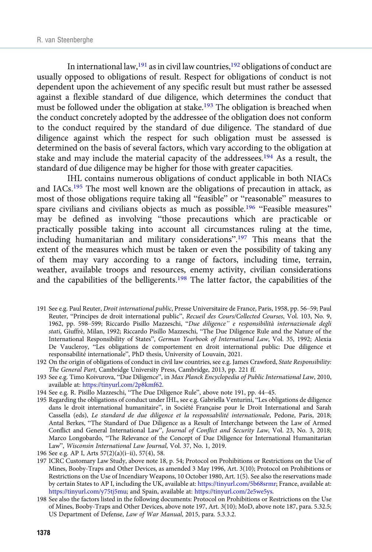In international law,  $191$  as in civil law countries,  $192$  obligations of conduct are usually opposed to obligations of result. Respect for obligations of conduct is not dependent upon the achievement of any specific result but must rather be assessed against a flexible standard of due diligence, which determines the conduct that must be followed under the obligation at stake.<sup>193</sup> The obligation is breached when the conduct concretely adopted by the addressee of the obligation does not conform to the conduct required by the standard of due diligence. The standard of due diligence against which the respect for such obligation must be assessed is determined on the basis of several factors, which vary according to the obligation at stake and may include the material capacity of the addressees.194 As a result, the standard of due diligence may be higher for those with greater capacities.

IHL contains numerous obligations of conduct applicable in both NIACs and IACs.195 The most well known are the obligations of precaution in attack, as most of those obligations require taking all "feasible" or "reasonable" measures to spare civilians and civilians objects as much as possible.<sup>196</sup> "Feasible measures" may be defined as involving "those precautions which are practicable or practically possible taking into account all circumstances ruling at the time, including humanitarian and military considerations".<sup>197</sup> This means that the extent of the measures which must be taken or even the possibility of taking any of them may vary according to a range of factors, including time, terrain, weather, available troops and resources, enemy activity, civilian considerations and the capabilities of the belligerents.198 The latter factor, the capabilities of the

- 191 See e.g. Paul Reuter, Droit international public, Presse Universitaire de France, Paris, 1958, pp. 56–59; Paul Reuter, "Principes de droit international public", Recueil des Cours/Collected Courses, Vol. 103, No. 9, 1962, pp. 598–599; Riccardo Pisillo Mazzeschi, "Due diligence" e responsibilità internazionale degli stati, Giuffrè, Milan, 1992; Riccardo Pisillo Mazzeschi, "The Due Diligence Rule and the Nature of the International Responsibility of States", German Yearbook of International Law, Vol. 35, 1992; Alexia De Vaucleroy, "Les obligations de comportement en droit international public: Due diligence et responsabilité internationale", PhD thesis, University of Louvain, 2021.
- 192 On the origin of obligations of conduct in civil law countries, see e.g. James Crawford, State Responsibility: The General Part, Cambridge University Press, Cambridge, 2013, pp. 221 ff.
- 193 See e.g. Timo Koivurova, "Due Diligence", in Max Planck Encyclopedia of Public International Law, 2010, available at: <https://tinyurl.com/2p8kmf62>.
- 194 See e.g. R. Pisillo Mazzeschi, "The Due Diligence Rule", above note 191, pp. 44–45.
- 195 Regarding the obligations of conduct under IHL, see e.g. Gabriella Venturini, "Les obligations de diligence dans le droit international humanitaire", in Société Française pour le Droit International and Sarah Cassella (eds), Le standard de due diligence et la responsabilité internationale, Pedone, Paris, 2018; Antal Berkes, "The Standard of Due Diligence as a Result of Interchange between the Law of Armed Conflict and General International Law", Journal of Conflict and Security Law, Vol. 23, No. 3, 2018; Marco Longobardo, "The Relevance of the Concept of Due Diligence for International Humanitarian Law", Wisconsin International Law Journal, Vol. 37, No. 1, 2019.
- 196 See e.g. AP I, Arts 57(2)(a)(i–ii), 57(4), 58.
- 197 ICRC Customary Law Study, above note 18, p. 54; Protocol on Prohibitions or Restrictions on the Use of Mines, Booby-Traps and Other Devices, as amended 3 May 1996, Art. 3(10); Protocol on Prohibitions or Restrictions on the Use of Incendiary Weapons, 10 October 1980, Art. 1(5). See also the reservations made by certain States to AP I, including the UK, available at: <https://tinyurl.com/5b68srmr>; France, available at: <https://tinyurl.com/y75tj5mu>; and Spain, available at: [https://tinyurl.com/2e5we5ys.](https://tinyurl.com/2e5we5ys)
- 198 See also the factors listed in the following documents: Protocol on Prohibitions or Restrictions on the Use of Mines, Booby-Traps and Other Devices, above note 197, Art. 3(10); MoD, above note 187, para. 5.32.5; US Department of Defense, Law of War Manual, 2015, para. 5.3.3.2.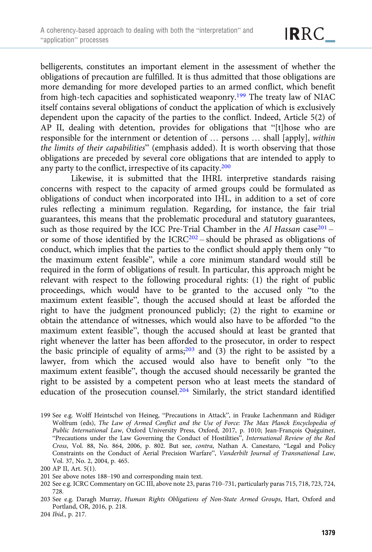belligerents, constitutes an important element in the assessment of whether the obligations of precaution are fulfilled. It is thus admitted that those obligations are more demanding for more developed parties to an armed conflict, which benefit from high-tech capacities and sophisticated weaponry.199 The treaty law of NIAC itself contains several obligations of conduct the application of which is exclusively dependent upon the capacity of the parties to the conflict. Indeed, Article 5(2) of AP II, dealing with detention, provides for obligations that "[t]hose who are responsible for the internment or detention of … persons … shall [apply], within the limits of their capabilities" (emphasis added). It is worth observing that those obligations are preceded by several core obligations that are intended to apply to any party to the conflict, irrespective of its capacity.200

Likewise, it is submitted that the IHRL interpretive standards raising concerns with respect to the capacity of armed groups could be formulated as obligations of conduct when incorporated into IHL, in addition to a set of core rules reflecting a minimum regulation. Regarding, for instance, the fair trial guarantees, this means that the problematic procedural and statutory guarantees, such as those required by the ICC Pre-Trial Chamber in the Al Hassan case<sup>201</sup> – or some of those identified by the  $ICRC^{202}$  – should be phrased as obligations of conduct, which implies that the parties to the conflict should apply them only "to the maximum extent feasible", while a core minimum standard would still be required in the form of obligations of result. In particular, this approach might be relevant with respect to the following procedural rights: (1) the right of public proceedings, which would have to be granted to the accused only "to the maximum extent feasible", though the accused should at least be afforded the right to have the judgment pronounced publicly; (2) the right to examine or obtain the attendance of witnesses, which would also have to be afforded "to the maximum extent feasible", though the accused should at least be granted that right whenever the latter has been afforded to the prosecutor, in order to respect the basic principle of equality of arms; $203$  and (3) the right to be assisted by a lawyer, from which the accused would also have to benefit only "to the maximum extent feasible", though the accused should necessarily be granted the right to be assisted by a competent person who at least meets the standard of education of the prosecution counsel.204 Similarly, the strict standard identified

<sup>199</sup> See e.g. Wolff Heintschel von Heineg, "Precautions in Attack", in Frauke Lachenmann and Rüdiger Wolfrum (eds), The Law of Armed Conflict and the Use of Force: The Max Planck Encyclopedia of Public International Law, Oxford University Press, Oxford, 2017, p. 1010; Jean-François Quéguiner, "Precautions under the Law Governing the Conduct of Hostilities", International Review of the Red Cross, Vol. 88, No. 864, 2006, p. 802. But see, contra, Nathan A. Canestaro, "Legal and Policy Constraints on the Conduct of Aerial Precision Warfare", Vanderbilt Journal of Transnational Law, Vol. 37, No. 2, 2004, p. 465.

<sup>200</sup> AP II, Art. 5(1).

<sup>201</sup> See above notes 188–190 and corresponding main text.

<sup>202</sup> See e.g. ICRC Commentary on GC III, above note 23, paras 710–731, particularly paras 715, 718, 723, 724, 728.

<sup>203</sup> See e.g. Daragh Murray, Human Rights Obligations of Non-State Armed Groups, Hart, Oxford and Portland, OR, 2016, p. 218.

<sup>204</sup> Ibid., p. 217.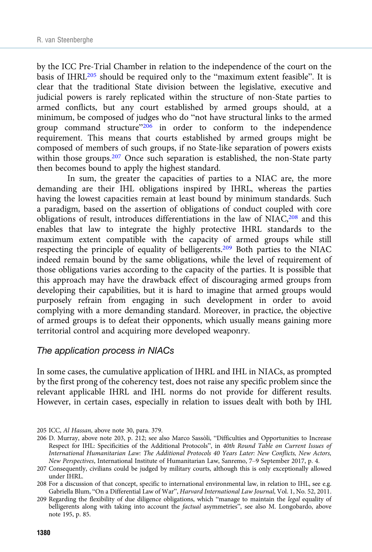by the ICC Pre-Trial Chamber in relation to the independence of the court on the basis of IHRL205 should be required only to the "maximum extent feasible". It is clear that the traditional State division between the legislative, executive and judicial powers is rarely replicated within the structure of non-State parties to armed conflicts, but any court established by armed groups should, at a minimum, be composed of judges who do "not have structural links to the armed group command structure"206 in order to conform to the independence requirement. This means that courts established by armed groups might be composed of members of such groups, if no State-like separation of powers exists within those groups.<sup>207</sup> Once such separation is established, the non-State party then becomes bound to apply the highest standard.

In sum, the greater the capacities of parties to a NIAC are, the more demanding are their IHL obligations inspired by IHRL, whereas the parties having the lowest capacities remain at least bound by minimum standards. Such a paradigm, based on the assertion of obligations of conduct coupled with core obligations of result, introduces differentiations in the law of NIAC,208 and this enables that law to integrate the highly protective IHRL standards to the maximum extent compatible with the capacity of armed groups while still respecting the principle of equality of belligerents.209 Both parties to the NIAC indeed remain bound by the same obligations, while the level of requirement of those obligations varies according to the capacity of the parties. It is possible that this approach may have the drawback effect of discouraging armed groups from developing their capabilities, but it is hard to imagine that armed groups would purposely refrain from engaging in such development in order to avoid complying with a more demanding standard. Moreover, in practice, the objective of armed groups is to defeat their opponents, which usually means gaining more territorial control and acquiring more developed weaponry.

#### The application process in NIACs

In some cases, the cumulative application of IHRL and IHL in NIACs, as prompted by the first prong of the coherency test, does not raise any specific problem since the relevant applicable IHRL and IHL norms do not provide for different results. However, in certain cases, especially in relation to issues dealt with both by IHL

<sup>205</sup> ICC, Al Hassan, above note 30, para. 379.

<sup>206</sup> D. Murray, above note 203, p. 212; see also Marco Sassòli, "Difficulties and Opportunities to Increase Respect for IHL: Specificities of the Additional Protocols", in 40th Round Table on Current Issues of International Humanitarian Law: The Additional Protocols 40 Years Later: New Conflicts, New Actors, New Perspectives, International Institute of Humanitarian Law, Sanremo, 7–9 September 2017, p. 4.

<sup>207</sup> Consequently, civilians could be judged by military courts, although this is only exceptionally allowed under IHRL.

<sup>208</sup> For a discussion of that concept, specific to international environmental law, in relation to IHL, see e.g. Gabriella Blum, "On a Differential Law of War", Harvard International Law Journal, Vol. 1, No. 52, 2011.

<sup>209</sup> Regarding the flexibility of due diligence obligations, which "manage to maintain the legal equality of belligerents along with taking into account the factual asymmetries", see also M. Longobardo, above note 195, p. 85.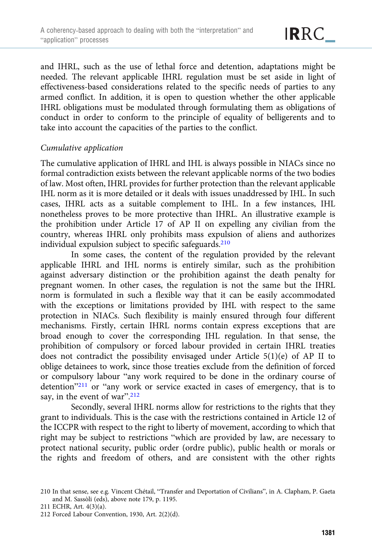and IHRL, such as the use of lethal force and detention, adaptations might be needed. The relevant applicable IHRL regulation must be set aside in light of effectiveness-based considerations related to the specific needs of parties to any armed conflict. In addition, it is open to question whether the other applicable IHRL obligations must be modulated through formulating them as obligations of conduct in order to conform to the principle of equality of belligerents and to take into account the capacities of the parties to the conflict.

#### Cumulative application

The cumulative application of IHRL and IHL is always possible in NIACs since no formal contradiction exists between the relevant applicable norms of the two bodies of law. Most often, IHRL provides for further protection than the relevant applicable IHL norm as it is more detailed or it deals with issues unaddressed by IHL. In such cases, IHRL acts as a suitable complement to IHL. In a few instances, IHL nonetheless proves to be more protective than IHRL. An illustrative example is the prohibition under Article 17 of AP II on expelling any civilian from the country, whereas IHRL only prohibits mass expulsion of aliens and authorizes individual expulsion subject to specific safeguards.<sup>210</sup>

In some cases, the content of the regulation provided by the relevant applicable IHRL and IHL norms is entirely similar, such as the prohibition against adversary distinction or the prohibition against the death penalty for pregnant women. In other cases, the regulation is not the same but the IHRL norm is formulated in such a flexible way that it can be easily accommodated with the exceptions or limitations provided by IHL with respect to the same protection in NIACs. Such flexibility is mainly ensured through four different mechanisms. Firstly, certain IHRL norms contain express exceptions that are broad enough to cover the corresponding IHL regulation. In that sense, the prohibition of compulsory or forced labour provided in certain IHRL treaties does not contradict the possibility envisaged under Article 5(1)(e) of AP II to oblige detainees to work, since those treaties exclude from the definition of forced or compulsory labour "any work required to be done in the ordinary course of detention"<sup>211</sup> or "any work or service exacted in cases of emergency, that is to say, in the event of war".<sup>212</sup>

Secondly, several IHRL norms allow for restrictions to the rights that they grant to individuals. This is the case with the restrictions contained in Article 12 of the ICCPR with respect to the right to liberty of movement, according to which that right may be subject to restrictions "which are provided by law, are necessary to protect national security, public order (ordre public), public health or morals or the rights and freedom of others, and are consistent with the other rights

<sup>210</sup> In that sense, see e.g. Vincent Chétail, "Transfer and Deportation of Civilians", in A. Clapham, P. Gaeta and M. Sassòli (eds), above note 179, p. 1195.

<sup>211</sup> ECHR, Art. 4(3)(a).

<sup>212</sup> Forced Labour Convention, 1930, Art. 2(2)(d).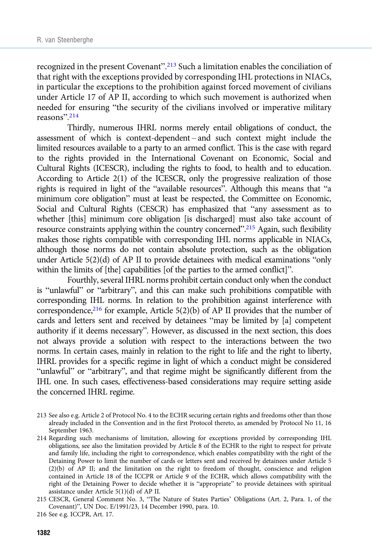recognized in the present Covenant".<sup>213</sup> Such a limitation enables the conciliation of that right with the exceptions provided by corresponding IHL protections in NIACs, in particular the exceptions to the prohibition against forced movement of civilians under Article 17 of AP II, according to which such movement is authorized when needed for ensuring "the security of the civilians involved or imperative military reasons". 214

Thirdly, numerous IHRL norms merely entail obligations of conduct, the assessment of which is context-dependent – and such context might include the limited resources available to a party to an armed conflict. This is the case with regard to the rights provided in the International Covenant on Economic, Social and Cultural Rights (ICESCR), including the rights to food, to health and to education. According to Article 2(1) of the ICESCR, only the progressive realization of those rights is required in light of the "available resources". Although this means that "a minimum core obligation" must at least be respected, the Committee on Economic, Social and Cultural Rights (CESCR) has emphasized that "any assessment as to whether [this] minimum core obligation [is discharged] must also take account of resource constraints applying within the country concerned".<sup>215</sup> Again, such flexibility makes those rights compatible with corresponding IHL norms applicable in NIACs, although those norms do not contain absolute protection, such as the obligation under Article 5(2)(d) of AP II to provide detainees with medical examinations "only within the limits of [the] capabilities [of the parties to the armed conflict]".

Fourthly, several IHRL norms prohibit certain conduct only when the conduct is "unlawful" or "arbitrary", and this can make such prohibitions compatible with corresponding IHL norms. In relation to the prohibition against interference with correspondence,<sup>216</sup> for example, Article 5(2)(b) of AP II provides that the number of cards and letters sent and received by detainees "may be limited by [a] competent authority if it deems necessary". However, as discussed in the next section, this does not always provide a solution with respect to the interactions between the two norms. In certain cases, mainly in relation to the right to life and the right to liberty, IHRL provides for a specific regime in light of which a conduct might be considered "unlawful" or "arbitrary", and that regime might be significantly different from the IHL one. In such cases, effectiveness-based considerations may require setting aside the concerned IHRL regime.

- 213 See also e.g. Article 2 of Protocol No. 4 to the ECHR securing certain rights and freedoms other than those already included in the Convention and in the first Protocol thereto, as amended by Protocol No 11, 16 September 1963.
- 214 Regarding such mechanisms of limitation, allowing for exceptions provided by corresponding IHL obligations, see also the limitation provided by Article 8 of the ECHR to the right to respect for private and family life, including the right to correspondence, which enables compatibility with the right of the Detaining Power to limit the number of cards or letters sent and received by detainees under Article 5  $(2)(b)$  of AP II; and the limitation on the right to freedom of thought, conscience and religion contained in Article 18 of the ICCPR or Article 9 of the ECHR, which allows compatibility with the right of the Detaining Power to decide whether it is "appropriate" to provide detainees with spiritual assistance under Article 5(1)(d) of AP II.
- 215 CESCR, General Comment No. 3, "The Nature of States Parties' Obligations (Art. 2, Para. 1, of the Covenant)", UN Doc. E/1991/23, 14 December 1990, para. 10.
- 216 See e.g. ICCPR, Art. 17.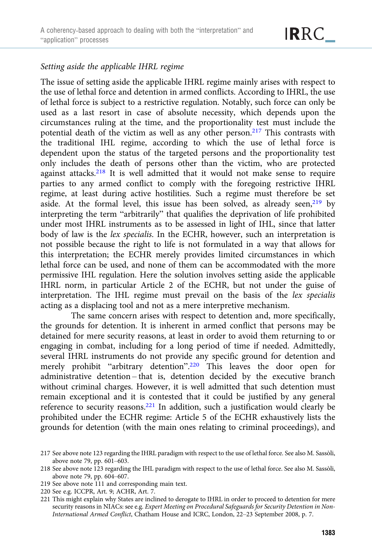#### Setting aside the applicable IHRL regime

The issue of setting aside the applicable IHRL regime mainly arises with respect to the use of lethal force and detention in armed conflicts. According to IHRL, the use of lethal force is subject to a restrictive regulation. Notably, such force can only be used as a last resort in case of absolute necessity, which depends upon the circumstances ruling at the time, and the proportionality test must include the potential death of the victim as well as any other person.<sup>217</sup> This contrasts with the traditional IHL regime, according to which the use of lethal force is dependent upon the status of the targeted persons and the proportionality test only includes the death of persons other than the victim, who are protected against attacks.218 It is well admitted that it would not make sense to require parties to any armed conflict to comply with the foregoing restrictive IHRL regime, at least during active hostilities. Such a regime must therefore be set aside. At the formal level, this issue has been solved, as already seen, $219$  by interpreting the term "arbitrarily" that qualifies the deprivation of life prohibited under most IHRL instruments as to be assessed in light of IHL, since that latter body of law is the lex specialis. In the ECHR, however, such an interpretation is not possible because the right to life is not formulated in a way that allows for this interpretation; the ECHR merely provides limited circumstances in which lethal force can be used, and none of them can be accommodated with the more permissive IHL regulation. Here the solution involves setting aside the applicable IHRL norm, in particular Article 2 of the ECHR, but not under the guise of interpretation. The IHL regime must prevail on the basis of the lex specialis acting as a displacing tool and not as a mere interpretive mechanism.

The same concern arises with respect to detention and, more specifically, the grounds for detention. It is inherent in armed conflict that persons may be detained for mere security reasons, at least in order to avoid them returning to or engaging in combat, including for a long period of time if needed. Admittedly, several IHRL instruments do not provide any specific ground for detention and merely prohibit "arbitrary detention". <sup>220</sup> This leaves the door open for administrative detention – that is, detention decided by the executive branch without criminal charges. However, it is well admitted that such detention must remain exceptional and it is contested that it could be justified by any general reference to security reasons.221 In addition, such a justification would clearly be prohibited under the ECHR regime: Article 5 of the ECHR exhaustively lists the grounds for detention (with the main ones relating to criminal proceedings), and

- 219 See above note 111 and corresponding main text.
- 220 See e.g. ICCPR, Art. 9; ACHR, Art. 7.

<sup>217</sup> See above note 123 regarding the IHRL paradigm with respect to the use of lethal force. See also M. Sassòli, above note 79, pp. 601–603.

<sup>218</sup> See above note 123 regarding the IHL paradigm with respect to the use of lethal force. See also M. Sassòli, above note 79, pp. 604–607.

<sup>221</sup> This might explain why States are inclined to derogate to IHRL in order to proceed to detention for mere security reasons in NIACs: see e.g. Expert Meeting on Procedural Safeguards for Security Detention in Non-International Armed Conflict, Chatham House and ICRC, London, 22–23 September 2008, p. 7.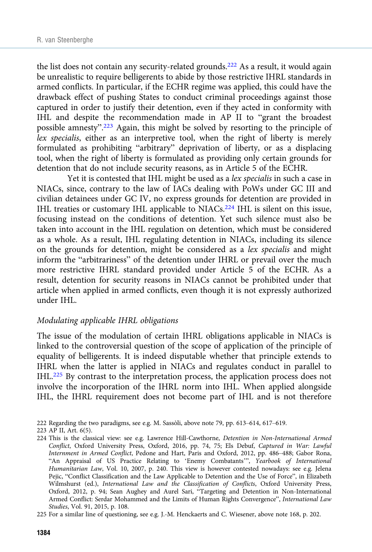the list does not contain any security-related grounds.<sup>222</sup> As a result, it would again be unrealistic to require belligerents to abide by those restrictive IHRL standards in armed conflicts. In particular, if the ECHR regime was applied, this could have the drawback effect of pushing States to conduct criminal proceedings against those captured in order to justify their detention, even if they acted in conformity with IHL and despite the recommendation made in AP II to "grant the broadest possible amnesty".<sup>223</sup> Again, this might be solved by resorting to the principle of lex specialis, either as an interpretive tool, when the right of liberty is merely formulated as prohibiting "arbitrary" deprivation of liberty, or as a displacing tool, when the right of liberty is formulated as providing only certain grounds for detention that do not include security reasons, as in Article 5 of the ECHR.

Yet it is contested that IHL might be used as a lex specialis in such a case in NIACs, since, contrary to the law of IACs dealing with PoWs under GC III and civilian detainees under GC IV, no express grounds for detention are provided in IHL treaties or customary IHL applicable to NIACs.224 IHL is silent on this issue, focusing instead on the conditions of detention. Yet such silence must also be taken into account in the IHL regulation on detention, which must be considered as a whole. As a result, IHL regulating detention in NIACs, including its silence on the grounds for detention, might be considered as a lex specialis and might inform the "arbitrariness" of the detention under IHRL or prevail over the much more restrictive IHRL standard provided under Article 5 of the ECHR. As a result, detention for security reasons in NIACs cannot be prohibited under that article when applied in armed conflicts, even though it is not expressly authorized under IHL.

#### Modulating applicable IHRL obligations

The issue of the modulation of certain IHRL obligations applicable in NIACs is linked to the controversial question of the scope of application of the principle of equality of belligerents. It is indeed disputable whether that principle extends to IHRL when the latter is applied in NIACs and regulates conduct in parallel to IHL.225 By contrast to the interpretation process, the application process does not involve the incorporation of the IHRL norm into IHL. When applied alongside IHL, the IHRL requirement does not become part of IHL and is not therefore

- 222 Regarding the two paradigms, see e.g. M. Sassòli, above note 79, pp. 613–614, 617–619.
- 223 AP II, Art. 6(5).

225 For a similar line of questioning, see e.g. J.-M. Henckaerts and C. Wiesener, above note 168, p. 202.

<sup>224</sup> This is the classical view: see e.g. Lawrence Hill-Cawthorne, Detention in Non-International Armed Conflict, Oxford University Press, Oxford, 2016, pp. 74, 75; Els Debuf, Captured in War: Lawful Internment in Armed Conflict, Pedone and Hart, Paris and Oxford, 2012, pp. 486–488; Gabor Rona, "An Appraisal of US Practice Relating to 'Enemy Combatants'", Yearbook of International Humanitarian Law, Vol. 10, 2007, p. 240. This view is however contested nowadays: see e.g. Jelena Pejic, "Conflict Classification and the Law Applicable to Detention and the Use of Force", in Elizabeth Wilmshurst (ed.), International Law and the Classification of Conflicts, Oxford University Press, Oxford, 2012, p. 94; Sean Aughey and Aurel Sari, "Targeting and Detention in Non-International Armed Conflict: Serdar Mohammed and the Limits of Human Rights Convergence", International Law Studies, Vol. 91, 2015, p. 108.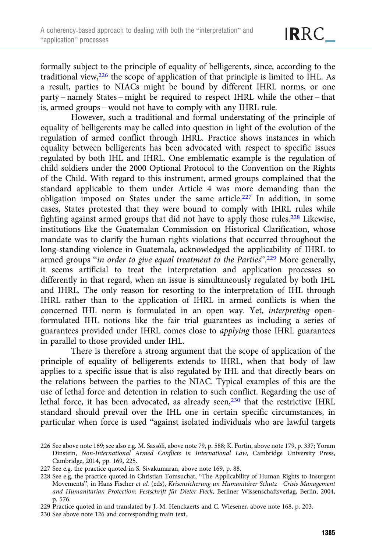formally subject to the principle of equality of belligerents, since, according to the traditional view,226 the scope of application of that principle is limited to IHL. As a result, parties to NIACs might be bound by different IHRL norms, or one party – namely States – might be required to respect IHRL while the other – that is, armed groups – would not have to comply with any IHRL rule.

However, such a traditional and formal understating of the principle of equality of belligerents may be called into question in light of the evolution of the regulation of armed conflict through IHRL. Practice shows instances in which equality between belligerents has been advocated with respect to specific issues regulated by both IHL and IHRL. One emblematic example is the regulation of child soldiers under the 2000 Optional Protocol to the Convention on the Rights of the Child. With regard to this instrument, armed groups complained that the standard applicable to them under Article 4 was more demanding than the obligation imposed on States under the same article.227 In addition, in some cases, States protested that they were bound to comply with IHRL rules while fighting against armed groups that did not have to apply those rules.<sup>228</sup> Likewise, institutions like the Guatemalan Commission on Historical Clarification, whose mandate was to clarify the human rights violations that occurred throughout the long-standing violence in Guatemala, acknowledged the applicability of IHRL to armed groups "in order to give equal treatment to the Parties".<sup>229</sup> More generally, it seems artificial to treat the interpretation and application processes so differently in that regard, when an issue is simultaneously regulated by both IHL and IHRL. The only reason for resorting to the interpretation of IHL through IHRL rather than to the application of IHRL in armed conflicts is when the concerned IHL norm is formulated in an open way. Yet, interpreting openformulated IHL notions like the fair trial guarantees as including a series of guarantees provided under IHRL comes close to applying those IHRL guarantees in parallel to those provided under IHL.

There is therefore a strong argument that the scope of application of the principle of equality of belligerents extends to IHRL, when that body of law applies to a specific issue that is also regulated by IHL and that directly bears on the relations between the parties to the NIAC. Typical examples of this are the use of lethal force and detention in relation to such conflict. Regarding the use of lethal force, it has been advocated, as already seen,<sup>230</sup> that the restrictive IHRL standard should prevail over the IHL one in certain specific circumstances, in particular when force is used "against isolated individuals who are lawful targets

<sup>226</sup> See above note 169; see also e.g. M. Sassòli, above note 79, p. 588; K. Fortin, above note 179, p. 337; Yoram Dinstein, Non-International Armed Conflicts in International Law, Cambridge University Press, Cambridge, 2014, pp. 169, 225.

<sup>227</sup> See e.g. the practice quoted in S. Sivakumaran, above note 169, p. 88.

<sup>228</sup> See e.g. the practice quoted in Christian Tomsuchat, "The Applicability of Human Rights to Insurgent Movements", in Hans Fischer et al. (eds), Krisensicherung un Humanitärer Schutz - Crisis Management and Humanitarian Protection: Festschrift für Dieter Fleck, Berliner Wissenschaftsverlag, Berlin, 2004, p. 576.

<sup>229</sup> Practice quoted in and translated by J.-M. Henckaerts and C. Wiesener, above note 168, p. 203.

<sup>230</sup> See above note 126 and corresponding main text.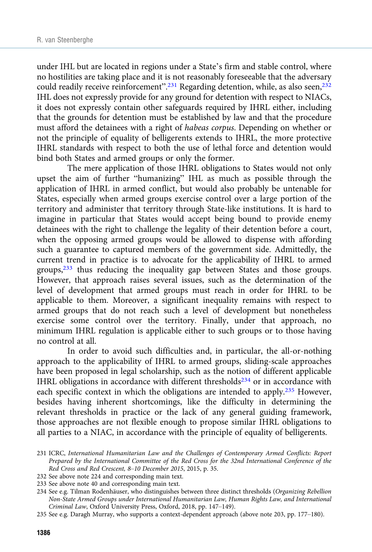under IHL but are located in regions under a State's firm and stable control, where no hostilities are taking place and it is not reasonably foreseeable that the adversary could readily receive reinforcement".<sup>231</sup> Regarding detention, while, as also seen,<sup>232</sup> IHL does not expressly provide for any ground for detention with respect to NIACs, it does not expressly contain other safeguards required by IHRL either, including that the grounds for detention must be established by law and that the procedure must afford the detainees with a right of habeas corpus. Depending on whether or not the principle of equality of belligerents extends to IHRL, the more protective IHRL standards with respect to both the use of lethal force and detention would bind both States and armed groups or only the former.

The mere application of those IHRL obligations to States would not only upset the aim of further "humanizing" IHL as much as possible through the application of IHRL in armed conflict, but would also probably be untenable for States, especially when armed groups exercise control over a large portion of the territory and administer that territory through State-like institutions. It is hard to imagine in particular that States would accept being bound to provide enemy detainees with the right to challenge the legality of their detention before a court, when the opposing armed groups would be allowed to dispense with affording such a guarantee to captured members of the government side. Admittedly, the current trend in practice is to advocate for the applicability of IHRL to armed groups,<sup>233</sup> thus reducing the inequality gap between States and those groups. However, that approach raises several issues, such as the determination of the level of development that armed groups must reach in order for IHRL to be applicable to them. Moreover, a significant inequality remains with respect to armed groups that do not reach such a level of development but nonetheless exercise some control over the territory. Finally, under that approach, no minimum IHRL regulation is applicable either to such groups or to those having no control at all.

In order to avoid such difficulties and, in particular, the all-or-nothing approach to the applicability of IHRL to armed groups, sliding-scale approaches have been proposed in legal scholarship, such as the notion of different applicable IHRL obligations in accordance with different thresholds $234$  or in accordance with each specific context in which the obligations are intended to apply.<sup>235</sup> However, besides having inherent shortcomings, like the difficulty in determining the relevant thresholds in practice or the lack of any general guiding framework, those approaches are not flexible enough to propose similar IHRL obligations to all parties to a NIAC, in accordance with the principle of equality of belligerents.

- 232 See above note 224 and corresponding main text.
- 233 See above note 40 and corresponding main text.

235 See e.g. Daragh Murray, who supports a context-dependent approach (above note 203, pp. 177–180).

<sup>231</sup> ICRC, International Humanitarian Law and the Challenges of Contemporary Armed Conflicts: Report Prepared by the International Committee of the Red Cross for the 32nd International Conference of the Red Cross and Red Crescent, 8–10 December 2015, 2015, p. 35.

<sup>234</sup> See e.g. Tilman Rodenhäuser, who distinguishes between three distinct thresholds (Organizing Rebellion Non-State Armed Groups under International Humanitarian Law, Human Rights Law, and International Criminal Law, Oxford University Press, Oxford, 2018, pp. 147–149).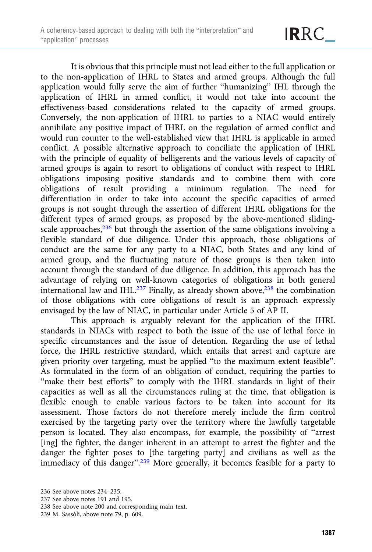It is obvious that this principle must not lead either to the full application or to the non-application of IHRL to States and armed groups. Although the full application would fully serve the aim of further "humanizing" IHL through the application of IHRL in armed conflict, it would not take into account the effectiveness-based considerations related to the capacity of armed groups. Conversely, the non-application of IHRL to parties to a NIAC would entirely annihilate any positive impact of IHRL on the regulation of armed conflict and would run counter to the well-established view that IHRL is applicable in armed conflict. A possible alternative approach to conciliate the application of IHRL with the principle of equality of belligerents and the various levels of capacity of armed groups is again to resort to obligations of conduct with respect to IHRL obligations imposing positive standards and to combine them with core obligations of result providing a minimum regulation. The need for differentiation in order to take into account the specific capacities of armed groups is not sought through the assertion of different IHRL obligations for the different types of armed groups, as proposed by the above-mentioned slidingscale approaches, $236$  but through the assertion of the same obligations involving a flexible standard of due diligence. Under this approach, those obligations of conduct are the same for any party to a NIAC, both States and any kind of armed group, and the fluctuating nature of those groups is then taken into account through the standard of due diligence. In addition, this approach has the advantage of relying on well-known categories of obligations in both general international law and IHL. $^{237}$  Finally, as already shown above, $^{238}$  the combination of those obligations with core obligations of result is an approach expressly envisaged by the law of NIAC, in particular under Article 5 of AP II.

This approach is arguably relevant for the application of the IHRL standards in NIACs with respect to both the issue of the use of lethal force in specific circumstances and the issue of detention. Regarding the use of lethal force, the IHRL restrictive standard, which entails that arrest and capture are given priority over targeting, must be applied "to the maximum extent feasible". As formulated in the form of an obligation of conduct, requiring the parties to "make their best efforts" to comply with the IHRL standards in light of their capacities as well as all the circumstances ruling at the time, that obligation is flexible enough to enable various factors to be taken into account for its assessment. Those factors do not therefore merely include the firm control exercised by the targeting party over the territory where the lawfully targetable person is located. They also encompass, for example, the possibility of "arrest [ing] the fighter, the danger inherent in an attempt to arrest the fighter and the danger the fighter poses to [the targeting party] and civilians as well as the immediacy of this danger".<sup>239</sup> More generally, it becomes feasible for a party to

<sup>236</sup> See above notes 234–235.

<sup>237</sup> See above notes 191 and 195.

<sup>238</sup> See above note 200 and corresponding main text.

<sup>239</sup> M. Sassòli, above note 79, p. 609.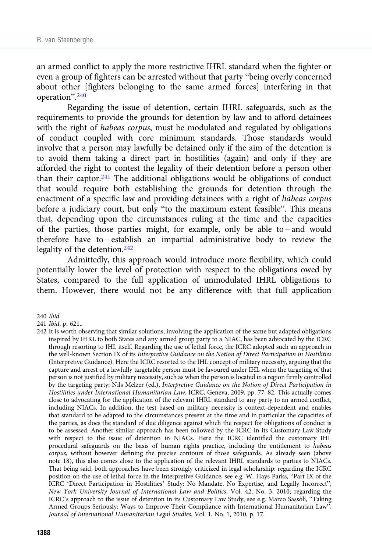an armed conflict to apply the more restrictive IHRL standard when the fighter or even a group of fighters can be arrested without that party "being overly concerned about other [fighters belonging to the same armed forces] interfering in that operation". 240

Regarding the issue of detention, certain IHRL safeguards, such as the requirements to provide the grounds for detention by law and to afford detainees with the right of habeas corpus, must be modulated and regulated by obligations of conduct coupled with core minimum standards. Those standards would involve that a person may lawfully be detained only if the aim of the detention is to avoid them taking a direct part in hostilities (again) and only if they are afforded the right to contest the legality of their detention before a person other than their captor.<sup>241</sup> The additional obligations would be obligations of conduct that would require both establishing the grounds for detention through the enactment of a specific law and providing detainees with a right of habeas corpus before a judiciary court, but only "to the maximum extent feasible". This means that, depending upon the circumstances ruling at the time and the capacities of the parties, those parties might, for example, only be able to – and would therefore have to – establish an impartial administrative body to review the legality of the detention.<sup>242</sup>

Admittedly, this approach would introduce more flexibility, which could potentially lower the level of protection with respect to the obligations owed by States, compared to the full application of unmodulated IHRL obligations to them. However, there would not be any difference with that full application

240 Ibid.

241 Ibid, p. 621..

<sup>242</sup> It is worth observing that similar solutions, involving the application of the same but adapted obligations inspired by IHRL to both States and any armed group party to a NIAC, has been advocated by the ICRC through resorting to IHL itself. Regarding the use of lethal force, the ICRC adopted such an approach in the well-known Section IX of its Interpretive Guidance on the Notion of Direct Participation in Hostilities (Interpretive Guidance). Here the ICRC resorted to the IHL concept of military necessity, arguing that the capture and arrest of a lawfully targetable person must be favoured under IHL when the targeting of that person is not justified by military necessity, such as when the person is located in a region firmly controlled by the targeting party: Nils Melzer (ed.), Interpretive Guidance on the Notion of Direct Participation in Hostilities under International Humanitarian Law, ICRC, Geneva, 2009, pp. 77–82. This actually comes close to advocating for the application of the relevant IHRL standard to any party to an armed conflict, including NIACs. In addition, the test based on military necessity is context-dependent and enables that standard to be adapted to the circumstances present at the time and in particular the capacities of the parties, as does the standard of due diligence against which the respect for obligations of conduct is to be assessed. Another similar approach has been followed by the ICRC in its Customary Law Study with respect to the issue of detention in NIACs. Here the ICRC identified the customary IHL procedural safeguards on the basis of human rights practice, including the entitlement to habeas corpus, without however defining the precise contours of those safeguards. As already seen (above note 18), this also comes close to the application of the relevant IHRL standards to parties to NIACs. That being said, both approaches have been strongly criticized in legal scholarship: regarding the ICRC position on the use of lethal force in the Interpretive Guidance, see e.g. W. Hays Parks, "Part IX of the ICRC 'Direct Participation in Hostilities' Study: No Mandate, No Expertise, and Legally Incorrect", New York University Journal of International Law and Politics, Vol. 42, No. 3, 2010; regarding the ICRC's approach to the issue of detention in its Customary Law Study, see e.g. Marco Sassòli, "Taking Armed Groups Seriously: Ways to Improve Their Compliance with International Humanitarian Law", Journal of International Humanitarian Legal Studies, Vol. 1, No. 1, 2010, p. 17.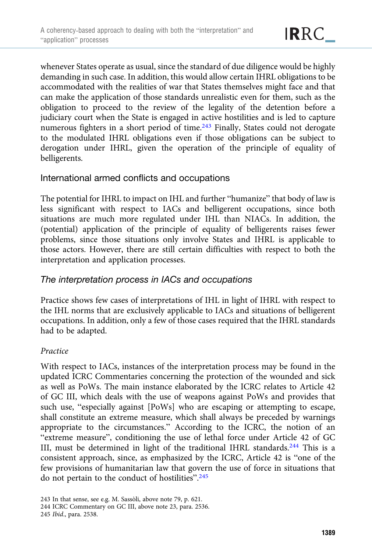whenever States operate as usual, since the standard of due diligence would be highly demanding in such case. In addition, this would allow certain IHRL obligations to be accommodated with the realities of war that States themselves might face and that can make the application of those standards unrealistic even for them, such as the obligation to proceed to the review of the legality of the detention before a judiciary court when the State is engaged in active hostilities and is led to capture numerous fighters in a short period of time.243 Finally, States could not derogate to the modulated IHRL obligations even if those obligations can be subject to derogation under IHRL, given the operation of the principle of equality of belligerents.

## International armed conflicts and occupations

The potential for IHRL to impact on IHL and further "humanize" that body of law is less significant with respect to IACs and belligerent occupations, since both situations are much more regulated under IHL than NIACs. In addition, the (potential) application of the principle of equality of belligerents raises fewer problems, since those situations only involve States and IHRL is applicable to those actors. However, there are still certain difficulties with respect to both the interpretation and application processes.

# The interpretation process in IACs and occupations

Practice shows few cases of interpretations of IHL in light of IHRL with respect to the IHL norms that are exclusively applicable to IACs and situations of belligerent occupations. In addition, only a few of those cases required that the IHRL standards had to be adapted.

#### Practice

With respect to IACs, instances of the interpretation process may be found in the updated ICRC Commentaries concerning the protection of the wounded and sick as well as PoWs. The main instance elaborated by the ICRC relates to Article 42 of GC III, which deals with the use of weapons against PoWs and provides that such use, "especially against [PoWs] who are escaping or attempting to escape, shall constitute an extreme measure, which shall always be preceded by warnings appropriate to the circumstances." According to the ICRC, the notion of an "extreme measure", conditioning the use of lethal force under Article 42 of GC III, must be determined in light of the traditional IHRL standards.<sup>244</sup> This is a consistent approach, since, as emphasized by the ICRC, Article 42 is "one of the few provisions of humanitarian law that govern the use of force in situations that do not pertain to the conduct of hostilities". 245

245 Ibid., para. 2538.

<sup>243</sup> In that sense, see e.g. M. Sassòli, above note 79, p. 621.

<sup>244</sup> ICRC Commentary on GC III, above note 23, para. 2536.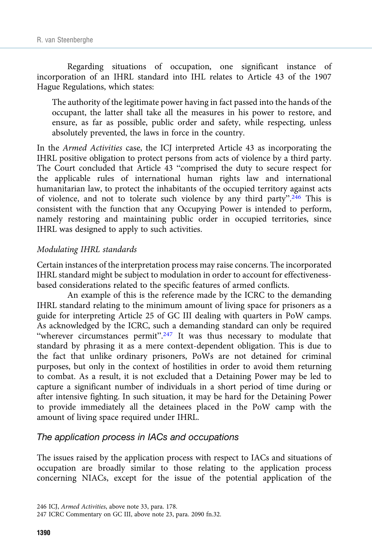Regarding situations of occupation, one significant instance of incorporation of an IHRL standard into IHL relates to Article 43 of the 1907 Hague Regulations, which states:

The authority of the legitimate power having in fact passed into the hands of the occupant, the latter shall take all the measures in his power to restore, and ensure, as far as possible, public order and safety, while respecting, unless absolutely prevented, the laws in force in the country.

In the Armed Activities case, the ICJ interpreted Article 43 as incorporating the IHRL positive obligation to protect persons from acts of violence by a third party. The Court concluded that Article 43 "comprised the duty to secure respect for the applicable rules of international human rights law and international humanitarian law, to protect the inhabitants of the occupied territory against acts of violence, and not to tolerate such violence by any third party".<sup>246</sup> This is consistent with the function that any Occupying Power is intended to perform, namely restoring and maintaining public order in occupied territories, since IHRL was designed to apply to such activities.

#### Modulating IHRL standards

Certain instances of the interpretation process may raise concerns. The incorporated IHRL standard might be subject to modulation in order to account for effectivenessbased considerations related to the specific features of armed conflicts.

An example of this is the reference made by the ICRC to the demanding IHRL standard relating to the minimum amount of living space for prisoners as a guide for interpreting Article 25 of GC III dealing with quarters in PoW camps. As acknowledged by the ICRC, such a demanding standard can only be required "wherever circumstances permit".<sup>247</sup> It was thus necessary to modulate that standard by phrasing it as a mere context-dependent obligation. This is due to the fact that unlike ordinary prisoners, PoWs are not detained for criminal purposes, but only in the context of hostilities in order to avoid them returning to combat. As a result, it is not excluded that a Detaining Power may be led to capture a significant number of individuals in a short period of time during or after intensive fighting. In such situation, it may be hard for the Detaining Power to provide immediately all the detainees placed in the PoW camp with the amount of living space required under IHRL.

## The application process in IACs and occupations

The issues raised by the application process with respect to IACs and situations of occupation are broadly similar to those relating to the application process concerning NIACs, except for the issue of the potential application of the

<sup>246</sup> ICJ, Armed Activities, above note 33, para. 178.

<sup>247</sup> ICRC Commentary on GC III, above note 23, para. 2090 fn.32.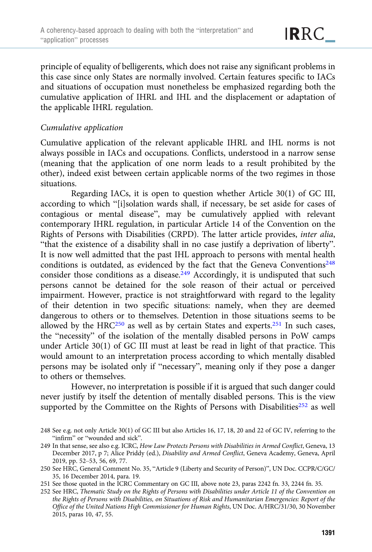principle of equality of belligerents, which does not raise any significant problems in this case since only States are normally involved. Certain features specific to IACs and situations of occupation must nonetheless be emphasized regarding both the cumulative application of IHRL and IHL and the displacement or adaptation of the applicable IHRL regulation.

#### Cumulative application

Cumulative application of the relevant applicable IHRL and IHL norms is not always possible in IACs and occupations. Conflicts, understood in a narrow sense (meaning that the application of one norm leads to a result prohibited by the other), indeed exist between certain applicable norms of the two regimes in those situations.

Regarding IACs, it is open to question whether Article 30(1) of GC III, according to which "[i]solation wards shall, if necessary, be set aside for cases of contagious or mental disease", may be cumulatively applied with relevant contemporary IHRL regulation, in particular Article 14 of the Convention on the Rights of Persons with Disabilities (CRPD). The latter article provides, inter alia, "that the existence of a disability shall in no case justify a deprivation of liberty". It is now well admitted that the past IHL approach to persons with mental health conditions is outdated, as evidenced by the fact that the Geneva Conventions<sup>248</sup> consider those conditions as a disease.<sup>249</sup> Accordingly, it is undisputed that such persons cannot be detained for the sole reason of their actual or perceived impairment. However, practice is not straightforward with regard to the legality of their detention in two specific situations: namely, when they are deemed dangerous to others or to themselves. Detention in those situations seems to be allowed by the HRC<sup>250</sup> as well as by certain States and experts.<sup>251</sup> In such cases, the "necessity" of the isolation of the mentally disabled persons in PoW camps under Article 30(1) of GC III must at least be read in light of that practice. This would amount to an interpretation process according to which mentally disabled persons may be isolated only if "necessary", meaning only if they pose a danger to others or themselves.

However, no interpretation is possible if it is argued that such danger could never justify by itself the detention of mentally disabled persons. This is the view supported by the Committee on the Rights of Persons with Disabilities $252$  as well

<sup>248</sup> See e.g. not only Article 30(1) of GC III but also Articles 16, 17, 18, 20 and 22 of GC IV, referring to the "infirm" or "wounded and sick".

<sup>249</sup> In that sense, see also e.g. ICRC, How Law Protects Persons with Disabilities in Armed Conflict, Geneva, 13 December 2017, p 7; Alice Priddy (ed.), Disability and Armed Conflict, Geneva Academy, Geneva, April 2019, pp. 52–53, 56, 69, 77.

<sup>250</sup> See HRC, General Comment No. 35, "Article 9 (Liberty and Security of Person)", UN Doc. CCPR/C/GC/ 35, 16 December 2014, para. 19.

<sup>251</sup> See those quoted in the ICRC Commentary on GC III, above note 23, paras 2242 fn. 33, 2244 fn. 35.

<sup>252</sup> See HRC, Thematic Study on the Rights of Persons with Disabilities under Article 11 of the Convention on the Rights of Persons with Disabilities, on Situations of Risk and Humanitarian Emergencies: Report of the Office of the United Nations High Commissioner for Human Rights, UN Doc. A/HRC/31/30, 30 November 2015, paras 10, 47, 55.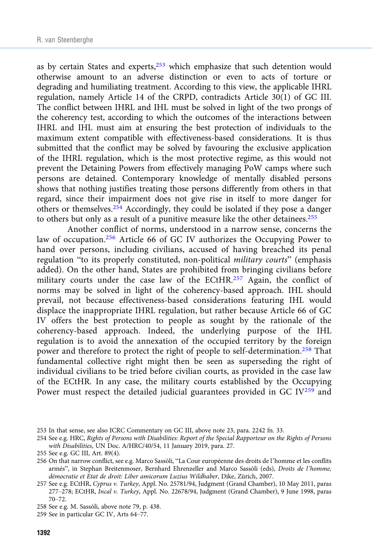as by certain States and experts, $253$  which emphasize that such detention would otherwise amount to an adverse distinction or even to acts of torture or degrading and humiliating treatment. According to this view, the applicable IHRL regulation, namely Article 14 of the CRPD, contradicts Article 30(1) of GC III. The conflict between IHRL and IHL must be solved in light of the two prongs of the coherency test, according to which the outcomes of the interactions between IHRL and IHL must aim at ensuring the best protection of individuals to the maximum extent compatible with effectiveness-based considerations. It is thus submitted that the conflict may be solved by favouring the exclusive application of the IHRL regulation, which is the most protective regime, as this would not prevent the Detaining Powers from effectively managing PoW camps where such persons are detained. Contemporary knowledge of mentally disabled persons shows that nothing justifies treating those persons differently from others in that regard, since their impairment does not give rise in itself to more danger for others or themselves.<sup>254</sup> Accordingly, they could be isolated if they pose a danger to others but only as a result of a punitive measure like the other detainees.<sup>255</sup>

Another conflict of norms, understood in a narrow sense, concerns the law of occupation.<sup>256</sup> Article 66 of GC IV authorizes the Occupying Power to hand over persons, including civilians, accused of having breached its penal regulation "to its properly constituted, non-political military courts" (emphasis added). On the other hand, States are prohibited from bringing civilians before military courts under the case law of the ECtHR.<sup>257</sup> Again, the conflict of norms may be solved in light of the coherency-based approach. IHL should prevail, not because effectiveness-based considerations featuring IHL would displace the inappropriate IHRL regulation, but rather because Article 66 of GC IV offers the best protection to people as sought by the rationale of the coherency-based approach. Indeed, the underlying purpose of the IHL regulation is to avoid the annexation of the occupied territory by the foreign power and therefore to protect the right of people to self-determination.<sup>258</sup> That fundamental collective right might then be seen as superseding the right of individual civilians to be tried before civilian courts, as provided in the case law of the ECtHR. In any case, the military courts established by the Occupying Power must respect the detailed judicial guarantees provided in GC IV<sup>259</sup> and

<sup>253</sup> In that sense, see also ICRC Commentary on GC III, above note 23, para. 2242 fn. 33.

<sup>254</sup> See e.g. HRC, Rights of Persons with Disabilities: Report of the Special Rapporteur on the Rights of Persons with Disabilities, UN Doc. A/HRC/40/54, 11 January 2019, para. 27.

<sup>255</sup> See e.g. GC III, Art. 89(4).

<sup>256</sup> On that narrow conflict, see e.g. Marco Sassòli, "La Cour européenne des droits de l'homme et les conflits armés", in Stephan Breitenmoser, Bernhard Ehrenzeller and Marco Sassòli (eds), Droits de l'homme, démocratie et Etat de droit: Liber amicorum Luzius Wildhaber, Dike, Zürich, 2007.

<sup>257</sup> See e.g. ECtHR, Cyprus v. Turkey, Appl. No. 25781/94, Judgment (Grand Chamber), 10 May 2011, paras 277–278; ECtHR, Incal v. Turkey, Appl. No. 22678/94, Judgment (Grand Chamber), 9 June 1998, paras 70–72.

<sup>258</sup> See e.g. M. Sassòli, above note 79, p. 438.

<sup>259</sup> See in particular GC IV, Arts 64–77.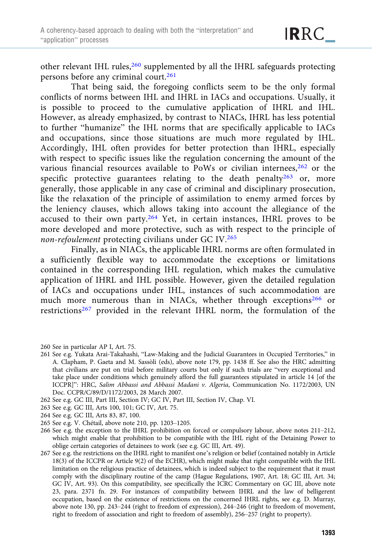other relevant IHL rules, <sup>260</sup> supplemented by all the IHRL safeguards protecting persons before any criminal court.<sup>261</sup>

That being said, the foregoing conflicts seem to be the only formal conflicts of norms between IHL and IHRL in IACs and occupations. Usually, it is possible to proceed to the cumulative application of IHRL and IHL. However, as already emphasized, by contrast to NIACs, IHRL has less potential to further "humanize" the IHL norms that are specifically applicable to IACs and occupations, since those situations are much more regulated by IHL. Accordingly, IHL often provides for better protection than IHRL, especially with respect to specific issues like the regulation concerning the amount of the various financial resources available to PoWs or civilian internees,<sup>262</sup> or the specific protective guarantees relating to the death penalty $263$  or, more generally, those applicable in any case of criminal and disciplinary prosecution, like the relaxation of the principle of assimilation to enemy armed forces by the leniency clauses, which allows taking into account the allegiance of the accused to their own party.<sup>264</sup> Yet, in certain instances, IHRL proves to be more developed and more protective, such as with respect to the principle of non-refoulement protecting civilians under GC IV.<sup>265</sup>

Finally, as in NIACs, the applicable IHRL norms are often formulated in a sufficiently flexible way to accommodate the exceptions or limitations contained in the corresponding IHL regulation, which makes the cumulative application of IHRL and IHL possible. However, given the detailed regulation of IACs and occupations under IHL, instances of such accommodation are much more numerous than in NIACs, whether through exceptions<sup>266</sup> or restrictions<sup>267</sup> provided in the relevant IHRL norm, the formulation of the

- 260 See in particular AP I, Art. 75.
- 261 See e.g. Yukata Arai-Takahashi, "Law-Making and the Judicial Guarantees in Occupied Territories," in A. Clapham, P. Gaeta and M. Sassòli (eds), above note 179, pp. 1438 ff. See also the HRC admitting that civilians are put on trial before military courts but only if such trials are "very exceptional and take place under conditions which genuinely afford the full guarantees stipulated in article 14 [of the ICCPR]": HRC, Salim Abbassi and Abbassi Madani v. Algeria, Communication No. 1172/2003, UN Doc. CCPR/C/89/D/1172/2003, 28 March 2007.
- 262 See e.g. GC III, Part III, Section IV; GC IV, Part III, Section IV, Chap. VI.
- 263 See e.g. GC III, Arts 100, 101; GC IV, Art. 75.
- 264 See e.g. GC III, Arts 83, 87, 100.
- 265 See e.g. V. Chétail, above note 210, pp. 1203–1205.

266 See e.g. the exception to the IHRL prohibition on forced or compulsory labour, above notes 211–212, which might enable that prohibition to be compatible with the IHL right of the Detaining Power to oblige certain categories of detainees to work (see e.g. GC III, Art. 49).

267 See e.g. the restrictions on the IHRL right to manifest one's religion or belief (contained notably in Article 18(3) of the ICCPR or Article 9(2) of the ECHR), which might make that right compatible with the IHL limitation on the religious practice of detainees, which is indeed subject to the requirement that it must comply with the disciplinary routine of the camp (Hague Regulations, 1907, Art. 18; GC III, Art. 34; GC IV, Art. 93). On this compatibility, see specifically the ICRC Commentary on GC III, above note 23, para. 2371 fn. 29. For instances of compatibility between IHRL and the law of belligerent occupation, based on the existence of restrictions on the concerned IHRL rights, see e.g. D. Murray, above note 130, pp. 243–244 (right to freedom of expression), 244–246 (right to freedom of movement, right to freedom of association and right to freedom of assembly), 256–257 (right to property).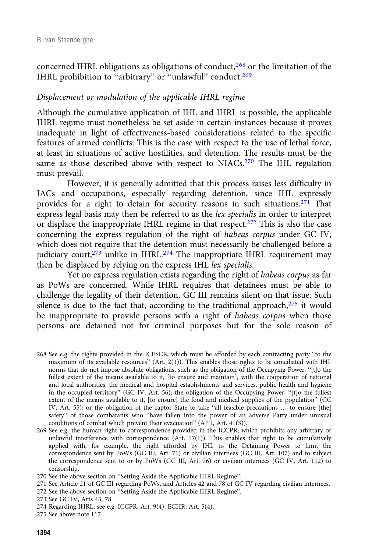concerned IHRL obligations as obligations of conduct,<sup>268</sup> or the limitation of the IHRL prohibition to "arbitrary" or "unlawful" conduct.<sup>269</sup>

#### Displacement or modulation of the applicable IHRL regime

Although the cumulative application of IHL and IHRL is possible, the applicable IHRL regime must nonetheless be set aside in certain instances because it proves inadequate in light of effectiveness-based considerations related to the specific features of armed conflicts. This is the case with respect to the use of lethal force, at least in situations of active hostilities, and detention. The results must be the same as those described above with respect to NIACs.<sup>270</sup> The IHL regulation must prevail.

However, it is generally admitted that this process raises less difficulty in IACs and occupations, especially regarding detention, since IHL expressly provides for a right to detain for security reasons in such situations.<sup>271</sup> That express legal basis may then be referred to as the lex specialis in order to interpret or displace the inappropriate IHRL regime in that respect.272 This is also the case concerning the express regulation of the right of habeas corpus under GC IV, which does not require that the detention must necessarily be challenged before a judiciary court, $273$  unlike in IHRL. $274$  The inappropriate IHRL requirement may then be displaced by relying on the express IHL lex specialis.

Yet no express regulation exists regarding the right of habeas corpus as far as PoWs are concerned. While IHRL requires that detainees must be able to challenge the legality of their detention, GC III remains silent on that issue. Such silence is due to the fact that, according to the traditional approach, $275$  it would be inappropriate to provide persons with a right of habeas corpus when those persons are detained not for criminal purposes but for the sole reason of

<sup>268</sup> See e.g. the rights provided in the ICESCR, which must be afforded by each contracting party "to the maximum of its available resources" (Art. 2(1)). This enables those rights to be conciliated with IHL norms that do not impose absolute obligations, such as the obligation of the Occupying Power, "[t]o the fullest extent of the means available to it, [to ensure and maintain], with the cooperation of national and local authorities, the medical and hospital establishments and services, public health and hygiene in the occupied territory" (GC IV, Art. 56); the obligation of the Occupying Power, "[t]o the fullest extent of the means available to it, [to ensure] the food and medical supplies of the population" (GC IV, Art. 55); or the obligation of the captor State to take "all feasible precautions … to ensure [the] safety" of those combatants who "have fallen into the power of an adverse Party under unusual conditions of combat which prevent their evacuation" (AP I, Art. 41(3)).

<sup>269</sup> See e.g. the human right to correspondence provided in the ICCPR, which prohibits any arbitrary or unlawful interference with correspondence (Art. 17(1)). This enables that right to be cumulatively applied with, for example, the right afforded by IHL to the Detaining Power to limit the correspondence sent by PoWs (GC III, Art. 71) or civilian internees (GC III, Art. 107) and to subject the correspondence sent to or by PoWs (GC III, Art. 76) or civilian internees (GC IV, Art. 112) to censorship.

<sup>270</sup> See the above section on "Setting Aside the Applicable IHRL Regime".

<sup>271</sup> See Article 21 of GC III regarding PoWs, and Articles 42 and 78 of GC IV regarding civilian internees.

<sup>272</sup> See the above section on "Setting Aside the Applicable IHRL Regime".

<sup>273</sup> See GC IV, Arts 43, 78.

<sup>274</sup> Regarding IHRL, see e.g. ICCPR, Art. 9(4); ECHR, Art. 5(4).

<sup>275</sup> See above note 117.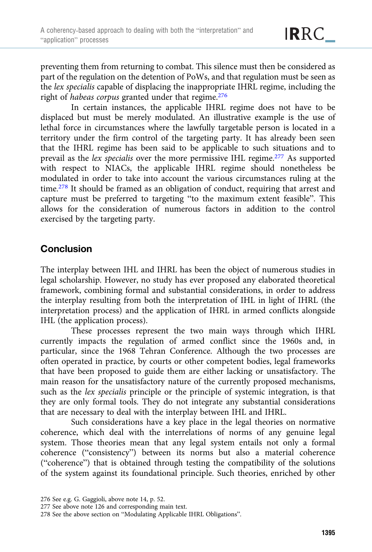preventing them from returning to combat. This silence must then be considered as part of the regulation on the detention of PoWs, and that regulation must be seen as the lex specialis capable of displacing the inappropriate IHRL regime, including the right of habeas corpus granted under that regime.276

In certain instances, the applicable IHRL regime does not have to be displaced but must be merely modulated. An illustrative example is the use of lethal force in circumstances where the lawfully targetable person is located in a territory under the firm control of the targeting party. It has already been seen that the IHRL regime has been said to be applicable to such situations and to prevail as the lex specialis over the more permissive IHL regime.<sup>277</sup> As supported with respect to NIACs, the applicable IHRL regime should nonetheless be modulated in order to take into account the various circumstances ruling at the time.<sup>278</sup> It should be framed as an obligation of conduct, requiring that arrest and capture must be preferred to targeting "to the maximum extent feasible". This allows for the consideration of numerous factors in addition to the control exercised by the targeting party.

## **Conclusion**

The interplay between IHL and IHRL has been the object of numerous studies in legal scholarship. However, no study has ever proposed any elaborated theoretical framework, combining formal and substantial considerations, in order to address the interplay resulting from both the interpretation of IHL in light of IHRL (the interpretation process) and the application of IHRL in armed conflicts alongside IHL (the application process).

These processes represent the two main ways through which IHRL currently impacts the regulation of armed conflict since the 1960s and, in particular, since the 1968 Tehran Conference. Although the two processes are often operated in practice, by courts or other competent bodies, legal frameworks that have been proposed to guide them are either lacking or unsatisfactory. The main reason for the unsatisfactory nature of the currently proposed mechanisms, such as the lex specialis principle or the principle of systemic integration, is that they are only formal tools. They do not integrate any substantial considerations that are necessary to deal with the interplay between IHL and IHRL.

Such considerations have a key place in the legal theories on normative coherence, which deal with the interrelations of norms of any genuine legal system. Those theories mean that any legal system entails not only a formal coherence ("consistency") between its norms but also a material coherence ("coherence") that is obtained through testing the compatibility of the solutions of the system against its foundational principle. Such theories, enriched by other

<sup>276</sup> See e.g. G. Gaggioli, above note 14, p. 52.

<sup>277</sup> See above note 126 and corresponding main text.

<sup>278</sup> See the above section on "Modulating Applicable IHRL Obligations".